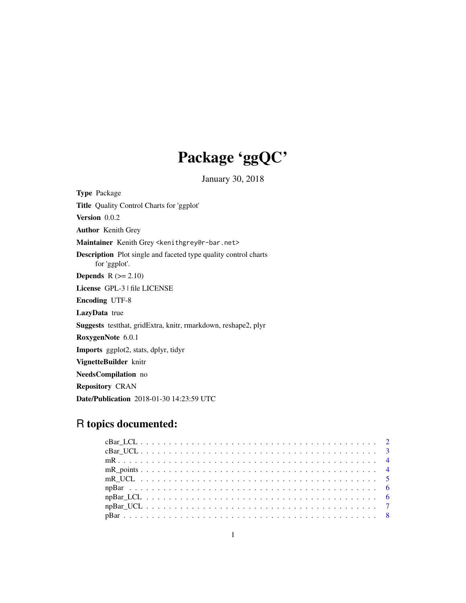## Package 'ggQC'

January 30, 2018

<span id="page-0-0"></span>Type Package Title Quality Control Charts for 'ggplot' Version 0.0.2 Author Kenith Grey Maintainer Kenith Grey <kenithgrey@r-bar.net> Description Plot single and faceted type quality control charts for 'ggplot'. **Depends**  $R$  ( $>= 2.10$ ) License GPL-3 | file LICENSE Encoding UTF-8 LazyData true Suggests testthat, gridExtra, knitr, rmarkdown, reshape2, plyr RoxygenNote 6.0.1 Imports ggplot2, stats, dplyr, tidyr VignetteBuilder knitr NeedsCompilation no Repository CRAN Date/Publication 2018-01-30 14:23:59 UTC

## R topics documented: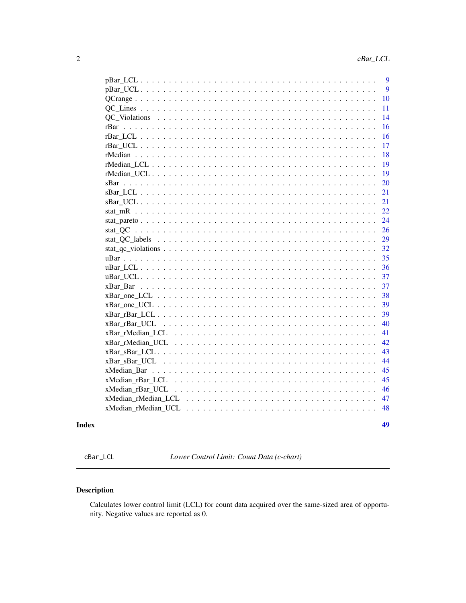<span id="page-1-0"></span>

|               | 9           |
|---------------|-------------|
|               | $\mathbf Q$ |
|               |             |
|               | 10          |
|               | 11          |
| QC Violations | 14          |
|               | 16          |
|               | 16          |
|               | 17          |
|               | 18          |
|               | 19          |
|               | 19          |
|               | 20          |
|               | 21          |
|               | 21          |
|               | 22          |
|               | 24          |
| stat QC       | 26          |
|               | 29          |
|               | 32          |
|               | 35          |
|               | 36          |
|               | 37          |
| xBar Bar      | 37          |
|               | 38          |
|               | 39          |
|               | 39          |
| xBar rBar UCL | 40          |
|               | 41          |
|               | 42          |
|               | 43          |
|               | 44          |
| xMedian_Bar   | 45          |
|               | 45          |
|               | 46          |
|               | 47          |
|               | 48          |
|               |             |
|               | 49          |

### **Index**

cBar\_LCL

Lower Control Limit: Count Data (c-chart)

### Description

Calculates lower control limit (LCL) for count data acquired over the same-sized area of opportunity. Negative values are reported as 0.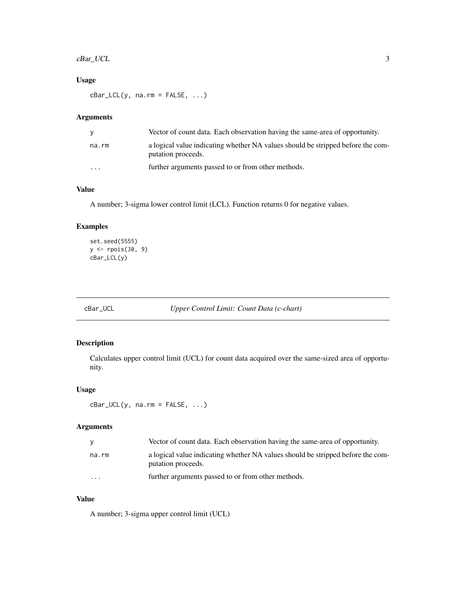### <span id="page-2-0"></span>cBar\_UCL 3

### Usage

 $cBar\_LCL(y, na.rm = FALSE, ...)$ 

### Arguments

|          | Vector of count data. Each observation having the same-area of opportunity.                           |
|----------|-------------------------------------------------------------------------------------------------------|
| na.rm    | a logical value indicating whether NA values should be stripped before the com-<br>putation proceeds. |
| $\cdots$ | further arguments passed to or from other methods.                                                    |

### Value

A number; 3-sigma lower control limit (LCL). Function returns 0 for negative values.

### Examples

```
set.seed(5555)
y <- rpois(30, 9)
cBar_LCL(y)
```
cBar\_UCL *Upper Control Limit: Count Data (c-chart)*

### Description

Calculates upper control limit (UCL) for count data acquired over the same-sized area of opportunity.

### Usage

 $cBar\_UCL(y, na.rm = FALSE, ...)$ 

### Arguments

| v        | Vector of count data. Each observation having the same-area of opportunity.                           |
|----------|-------------------------------------------------------------------------------------------------------|
| na.rm    | a logical value indicating whether NA values should be stripped before the com-<br>putation proceeds. |
| $\cdots$ | further arguments passed to or from other methods.                                                    |

### Value

A number; 3-sigma upper control limit (UCL)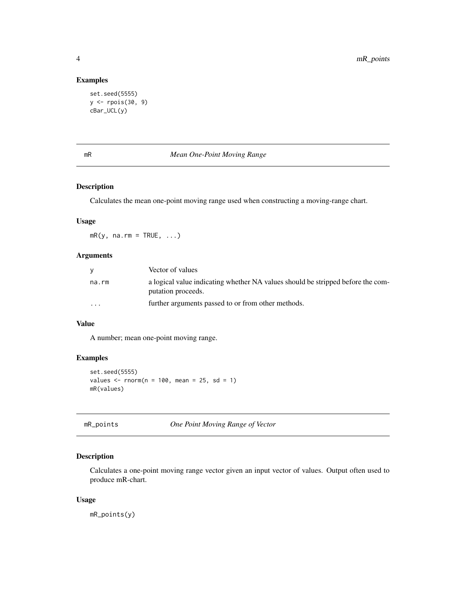### Examples

```
set.seed(5555)
y <- rpois(30, 9)
cBar_UCL(y)
```
### mR *Mean One-Point Moving Range*

### Description

Calculates the mean one-point moving range used when constructing a moving-range chart.

#### Usage

 $mR(y, na.rm = TRUE, ...)$ 

### Arguments

| <b>V</b> | Vector of values                                                                                      |
|----------|-------------------------------------------------------------------------------------------------------|
| na.rm    | a logical value indicating whether NA values should be stripped before the com-<br>putation proceeds. |
| $\cdot$  | further arguments passed to or from other methods.                                                    |

### Value

A number; mean one-point moving range.

### Examples

```
set.seed(5555)
values \le rnorm(n = 100, mean = 25, sd = 1)
mR(values)
```
mR\_points *One Point Moving Range of Vector*

### Description

Calculates a one-point moving range vector given an input vector of values. Output often used to produce mR-chart.

#### Usage

mR\_points(y)

<span id="page-3-0"></span>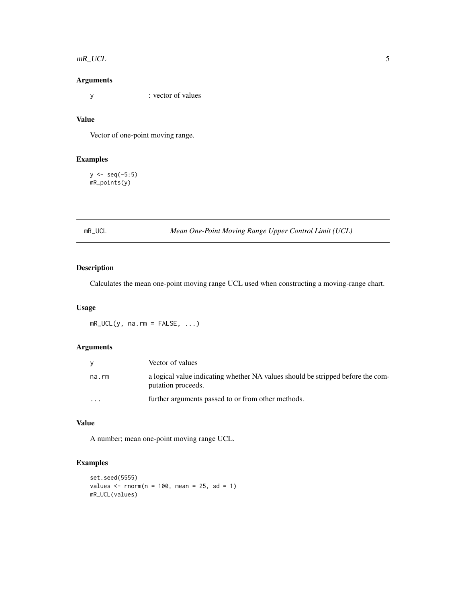#### <span id="page-4-0"></span> $mR\_UCL$  5

### Arguments

y : vector of values

### Value

Vector of one-point moving range.

### Examples

 $y \leftarrow \text{seq}(-5:5)$ mR\_points(y)

mR\_UCL *Mean One-Point Moving Range Upper Control Limit (UCL)*

### Description

Calculates the mean one-point moving range UCL used when constructing a moving-range chart.

### Usage

 $mR_UCL(y, na.rm = FALSE, ...)$ 

### Arguments

|                         | Vector of values                                                                                      |
|-------------------------|-------------------------------------------------------------------------------------------------------|
| na.rm                   | a logical value indicating whether NA values should be stripped before the com-<br>putation proceeds. |
| $\cdot$ $\cdot$ $\cdot$ | further arguments passed to or from other methods.                                                    |

### Value

A number; mean one-point moving range UCL.

```
set.seed(5555)
values \le - rnorm(n = 100, mean = 25, sd = 1)
mR_UCL(values)
```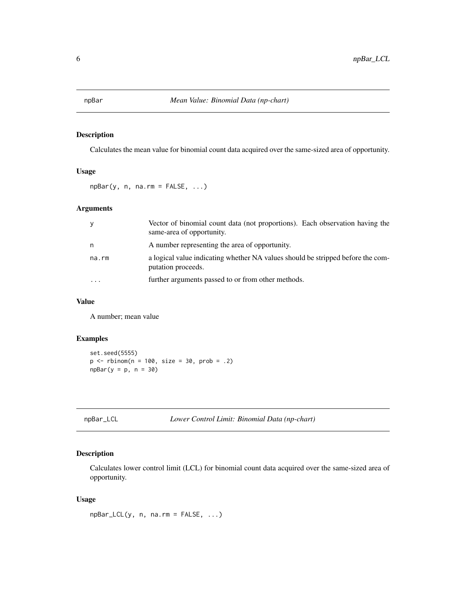<span id="page-5-0"></span>Calculates the mean value for binomial count data acquired over the same-sized area of opportunity.

### Usage

 $npBar(y, n, na.rm = FALSE, ...)$ 

### Arguments

| У       | Vector of binomial count data (not proportions). Each observation having the<br>same-area of opportunity. |
|---------|-----------------------------------------------------------------------------------------------------------|
| n       | A number representing the area of opportunity.                                                            |
| na.rm   | a logical value indicating whether NA values should be stripped before the com-<br>putation proceeds.     |
| $\cdot$ | further arguments passed to or from other methods.                                                        |

### Value

A number; mean value

### Examples

```
set.seed(5555)
p \le - rbinom(n = 100, size = 30, prob = .2)
npBar(y = p, n = 30)
```
### Description

Calculates lower control limit (LCL) for binomial count data acquired over the same-sized area of opportunity.

### Usage

npBar\_LCL(y, n, na.rm = FALSE, ...)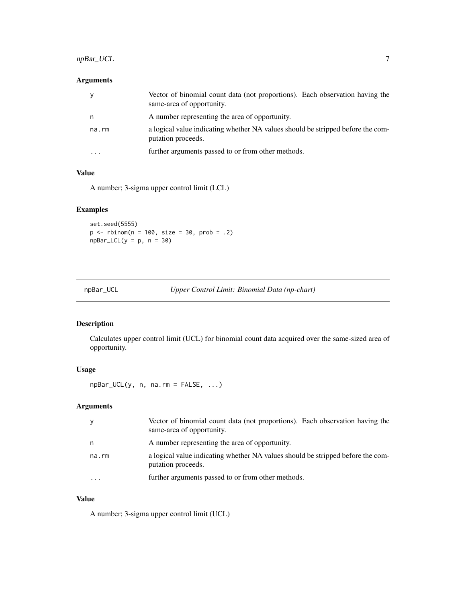### <span id="page-6-0"></span>npBar\_UCL 7

### Arguments

| У     | Vector of binomial count data (not proportions). Each observation having the<br>same-area of opportunity. |
|-------|-----------------------------------------------------------------------------------------------------------|
| n     | A number representing the area of opportunity.                                                            |
| na.rm | a logical value indicating whether NA values should be stripped before the com-<br>putation proceeds.     |
|       | further arguments passed to or from other methods.                                                        |

### Value

A number; 3-sigma upper control limit (LCL)

### Examples

set.seed(5555)  $p \le -$  rbinom(n = 100, size = 30, prob = .2)  $npBar\_LCL(y = p, n = 30)$ 

npBar\_UCL *Upper Control Limit: Binomial Data (np-chart)*

### Description

Calculates upper control limit (UCL) for binomial count data acquired over the same-sized area of opportunity.

### Usage

 $npBar_UCL(y, n, na.rm = FALSE, ...)$ 

### Arguments

|       | Vector of binomial count data (not proportions). Each observation having the<br>same-area of opportunity. |
|-------|-----------------------------------------------------------------------------------------------------------|
| n     | A number representing the area of opportunity.                                                            |
| na.rm | a logical value indicating whether NA values should be stripped before the com-<br>putation proceeds.     |
| .     | further arguments passed to or from other methods.                                                        |

### Value

A number; 3-sigma upper control limit (UCL)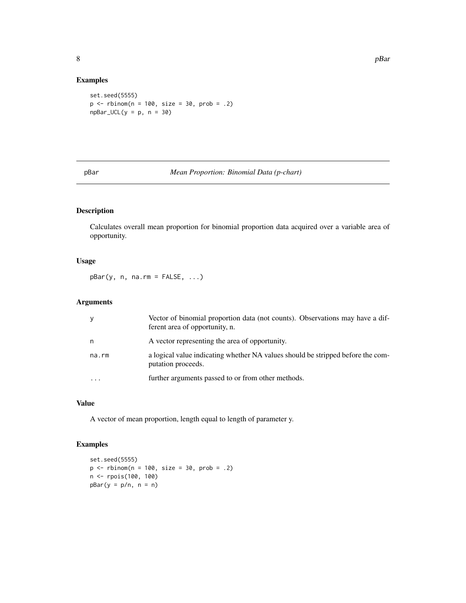#### Examples

```
set.seed(5555)
p \le - rbinom(n = 100, size = 30, prob = .2)
npBar_UCL(y = p, n = 30)
```
### pBar *Mean Proportion: Binomial Data (p-chart)*

### Description

Calculates overall mean proportion for binomial proportion data acquired over a variable area of opportunity.

### Usage

 $pBar(y, n, na.rm = FALSE, ...)$ 

### Arguments

| У     | Vector of binomial proportion data (not counts). Observations may have a dif-<br>ferent area of opportunity, n. |
|-------|-----------------------------------------------------------------------------------------------------------------|
| n     | A vector representing the area of opportunity.                                                                  |
| na.rm | a logical value indicating whether NA values should be stripped before the com-<br>putation proceeds.           |
|       | further arguments passed to or from other methods.                                                              |

### Value

A vector of mean proportion, length equal to length of parameter y.

```
set.seed(5555)
p \le - rbinom(n = 100, size = 30, prob = .2)
n <- rpois(100, 100)
pBar(y = p/n, n = n)
```
<span id="page-7-0"></span>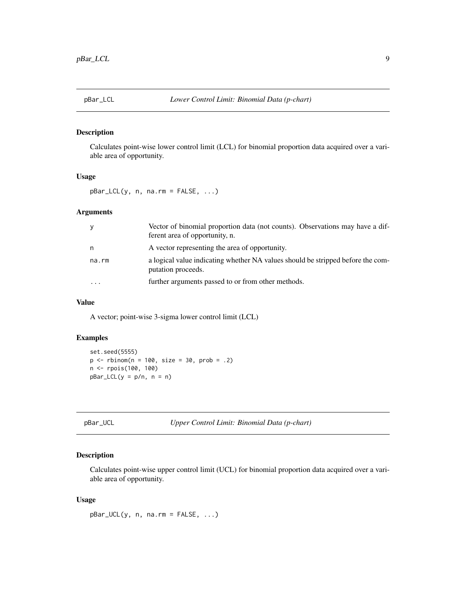<span id="page-8-0"></span>

Calculates point-wise lower control limit (LCL) for binomial proportion data acquired over a variable area of opportunity.

#### Usage

 $pBar\_LCL(y, n, na.rm = FALSE, ...)$ 

### Arguments

| У                       | Vector of binomial proportion data (not counts). Observations may have a dif-<br>ferent area of opportunity, n. |
|-------------------------|-----------------------------------------------------------------------------------------------------------------|
| n                       | A vector representing the area of opportunity.                                                                  |
| na.rm                   | a logical value indicating whether NA values should be stripped before the com-<br>putation proceeds.           |
| $\cdot$ $\cdot$ $\cdot$ | further arguments passed to or from other methods.                                                              |

#### Value

A vector; point-wise 3-sigma lower control limit (LCL)

#### Examples

```
set.seed(5555)
p \le - rbinom(n = 100, size = 30, prob = .2)
n <- rpois(100, 100)
pBar\_LCL(y = p/n, n = n)
```
#### Description

Calculates point-wise upper control limit (UCL) for binomial proportion data acquired over a variable area of opportunity.

### Usage

pBar\_UCL(y, n, na.rm = FALSE, ...)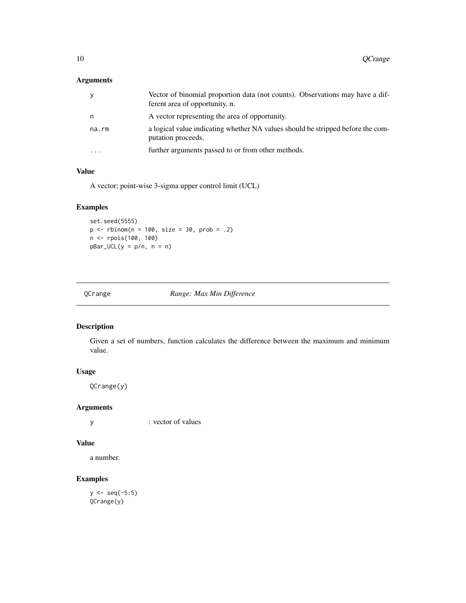### <span id="page-9-0"></span>Arguments

| У         | Vector of binomial proportion data (not counts). Observations may have a dif-<br>ferent area of opportunity, n. |
|-----------|-----------------------------------------------------------------------------------------------------------------|
| n         | A vector representing the area of opportunity.                                                                  |
| na.rm     | a logical value indicating whether NA values should be stripped before the com-<br>putation proceeds.           |
| $\ddotsc$ | further arguments passed to or from other methods.                                                              |

### Value

A vector; point-wise 3-sigma upper control limit (UCL)

### Examples

set.seed(5555) p <- rbinom(n = 100, size = 30, prob = .2) n <- rpois(100, 100)  $pBar_UCL(y = p/n, n = n)$ 

QCrange *Range: Max Min Difference*

### Description

Given a set of numbers, function calculates the difference between the maximum and minimum value.

### Usage

QCrange(y)

### Arguments

y : vector of values

### Value

a number.

### Examples

 $y \leq -$  seq(-5:5) QCrange(y)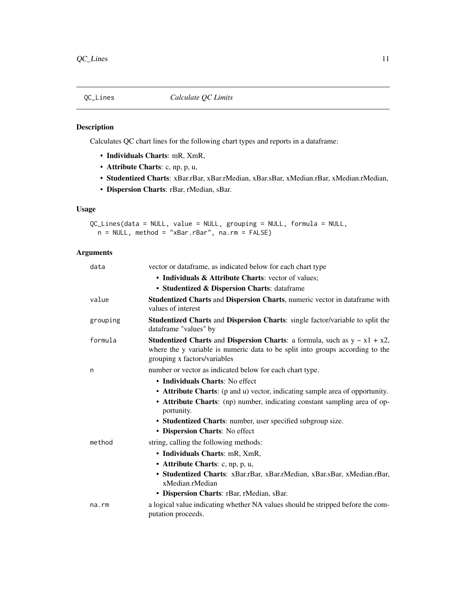<span id="page-10-0"></span>

Calculates QC chart lines for the following chart types and reports in a dataframe:

- Individuals Charts: mR, XmR,
- Attribute Charts: c, np, p, u,
- Studentized Charts: xBar.rBar, xBar.rMedian, xBar.sBar, xMedian.rBar, xMedian.rMedian,
- Dispersion Charts: rBar, rMedian, sBar.

### Usage

```
QC_Lines(data = NULL, value = NULL, grouping = NULL, formula = NULL,
 n = NULL, method = "xBar.rBar", na.rm = FALSE)
```
### Arguments

| data        | vector or dataframe, as indicated below for each chart type                                                                                                                                                                                                                                                 |
|-------------|-------------------------------------------------------------------------------------------------------------------------------------------------------------------------------------------------------------------------------------------------------------------------------------------------------------|
|             | • Individuals & Attribute Charts: vector of values;                                                                                                                                                                                                                                                         |
|             | • Studentized & Dispersion Charts: dataframe                                                                                                                                                                                                                                                                |
| value       | Studentized Charts and Dispersion Charts, numeric vector in dataframe with<br>values of interest                                                                                                                                                                                                            |
| grouping    | Studentized Charts and Dispersion Charts: single factor/variable to split the<br>dataframe "values" by                                                                                                                                                                                                      |
| formula     | <b>Studentized Charts and Dispersion Charts:</b> a formula, such as $y \sim x1 + x2$ ,<br>where the y variable is numeric data to be split into groups according to the<br>grouping x factors/variables                                                                                                     |
| n           | number or vector as indicated below for each chart type.                                                                                                                                                                                                                                                    |
|             | • Individuals Charts: No effect<br>• Attribute Charts: (p and u) vector, indicating sample area of opportunity.<br>• Attribute Charts: (np) number, indicating constant sampling area of op-<br>portunity.<br>• Studentized Charts: number, user specified subgroup size.<br>• Dispersion Charts: No effect |
| method      | string, calling the following methods:                                                                                                                                                                                                                                                                      |
|             | • Individuals Charts: mR, XmR,                                                                                                                                                                                                                                                                              |
|             | • Attribute Charts: c, np, p, u,                                                                                                                                                                                                                                                                            |
|             | · Studentized Charts: xBar.rBar, xBar.rMedian, xBar.sBar, xMedian.rBar,<br>xMedian.rMedian                                                                                                                                                                                                                  |
|             | • Dispersion Charts: rBar, rMedian, sBar.                                                                                                                                                                                                                                                                   |
| $na$ . $rm$ | a logical value indicating whether NA values should be stripped before the com-<br>putation proceeds.                                                                                                                                                                                                       |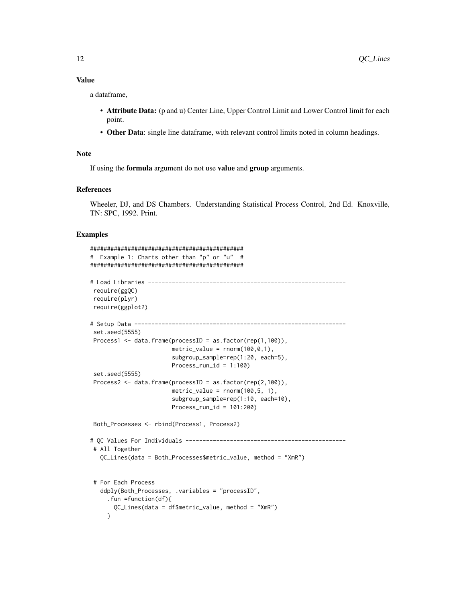### Value

a dataframe,

- Attribute Data: (p and u) Center Line, Upper Control Limit and Lower Control limit for each point.
- Other Data: single line dataframe, with relevant control limits noted in column headings.

### Note

If using the formula argument do not use value and group arguments.

### References

Wheeler, DJ, and DS Chambers. Understanding Statistical Process Control, 2nd Ed. Knoxville, TN: SPC, 1992. Print.

```
#############################################
# Example 1: Charts other than "p" or "u" #
#############################################
# Load Libraries ----------------------------------------------------------
require(ggQC)
require(plyr)
require(ggplot2)
# Setup Data --------------------------------------------------------------
set.seed(5555)
Process1 <- data.frame(processID = as.factor(rep(1,100)),
                       metric_value = rnorm(100, 0, 1),
                        subgroup_sample=rep(1:20, each=5),
                       Process\_run\_id = 1:100set.seed(5555)
Process2 <- data.frame(processID = as.factor(rep(2,100)),
                       metric_value = rnorm(100, 5, 1),subgroup_sample=rep(1:10, each=10),
                       Process_run_id = 101:200)
Both_Processes <- rbind(Process1, Process2)
# QC Values For Individuals -----------------------------------------------
# All Together
  QC_Lines(data = Both_Processes$metric_value, method = "XmR")
# For Each Process
  ddply(Both_Processes, .variables = "processID",
    .fun =function(df){
      QC_Lines(data = df$metric_value, method = "XmR")
    }
```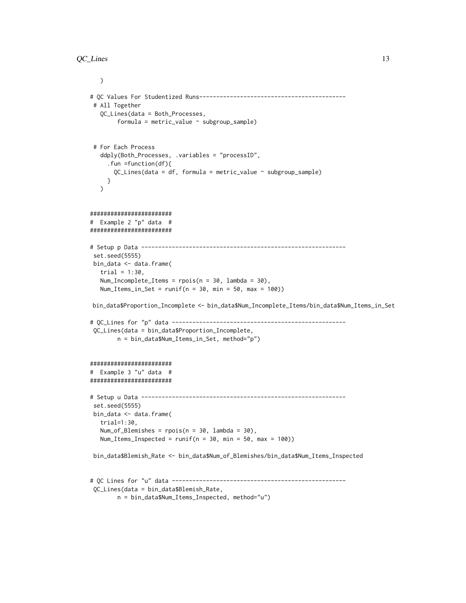```
\mathcal{L}# QC Values For Studentized Runs-------------------------------------------
# All Together
  QC_Lines(data = Both_Processes,
        formula = metric_value ~ subsroup\_sample)# For Each Process
  ddply(Both_Processes, .variables = "processID",
     .fun =function(df){
       QC_Lines(data = df, formula = metric_value ~ subgroup_sample)
     }
  \lambda########################
# Example 2 "p" data #
########################
# Setup p Data ------------------------------------------------------------
set.seed(5555)
bin_data <- data.frame(
  trial = 1:30,
  Num_Incomplete_Items = rpois(n = 30, lambda = 30),
  Num_Items_in_Set = runif(n = 30, min = 50, max = 100))
bin_data$Proportion_Incomplete <- bin_data$Num_Incomplete_Items/bin_data$Num_Items_in_Set
# QC_Lines for "p" data ---------------------------------------------------
QC_Lines(data = bin_data$Proportion_Incomplete,
        n = bin_data$Num_Items_in_Set, method="p")
########################
# Example 3 "u" data #
########################
# Setup u Data ------------------------------------------------------------
set.seed(5555)
bin_data <- data.frame(
   trial=1:30,
  Num_of_Blemishes = rpois(n = 30, lambda = 30),
  Num_Items_Inspected = runif(n = 30, min = 50, max = 100))
 bin_data$Blemish_Rate <- bin_data$Num_of_Blemishes/bin_data$Num_Items_Inspected
# QC Lines for "u" data ---------------------------------------------------
QC_Lines(data = bin_data$Blemish_Rate,
```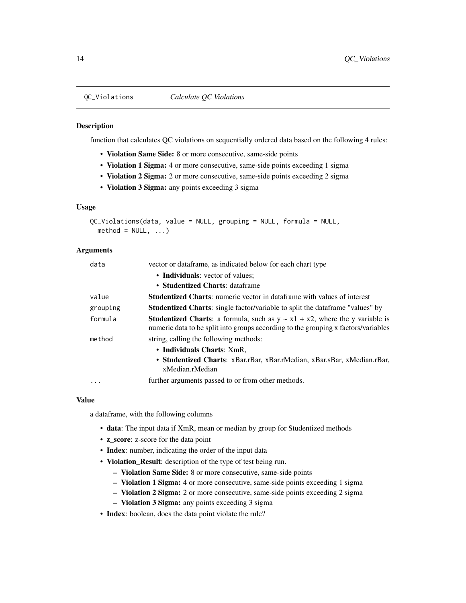function that calculates QC violations on sequentially ordered data based on the following 4 rules:

- Violation Same Side: 8 or more consecutive, same-side points
- Violation 1 Sigma: 4 or more consecutive, same-side points exceeding 1 sigma
- Violation 2 Sigma: 2 or more consecutive, same-side points exceeding 2 sigma
- Violation 3 Sigma: any points exceeding 3 sigma

### Usage

```
QC_Violations(data, value = NULL, grouping = NULL, formula = NULL,
  method = NULL, ...)
```
### Arguments

| data      | vector or dataframe, as indicated below for each chart type                                                                                                                    |
|-----------|--------------------------------------------------------------------------------------------------------------------------------------------------------------------------------|
|           | • Individuals: vector of values;                                                                                                                                               |
|           | • Studentized Charts: dataframe                                                                                                                                                |
| value     | <b>Studentized Charts:</b> numeric vector in dataframe with values of interest                                                                                                 |
| grouping  | <b>Studentized Charts:</b> single factor/variable to split the dataframe "values" by                                                                                           |
| formula   | <b>Studentized Charts:</b> a formula, such as $y \sim x1 + x2$ , where the y variable is<br>numeric data to be split into groups according to the grouping x factors/variables |
| method    | string, calling the following methods:                                                                                                                                         |
|           | • Individuals Charts: XmR.<br>• Studentized Charts: xBar.rBar, xBar.rMedian, xBar.sBar, xMedian.rBar,<br>xMedian.rMedian                                                       |
| $\ddotsc$ | further arguments passed to or from other methods.                                                                                                                             |
|           |                                                                                                                                                                                |

#### Value

a dataframe, with the following columns

- data: The input data if XmR, mean or median by group for Studentized methods
- z\_score: z-score for the data point
- Index: number, indicating the order of the input data
- Violation\_Result: description of the type of test being run.
	- Violation Same Side: 8 or more consecutive, same-side points
	- Violation 1 Sigma: 4 or more consecutive, same-side points exceeding 1 sigma
	- Violation 2 Sigma: 2 or more consecutive, same-side points exceeding 2 sigma
	- Violation 3 Sigma: any points exceeding 3 sigma
- Index: boolean, does the data point violate the rule?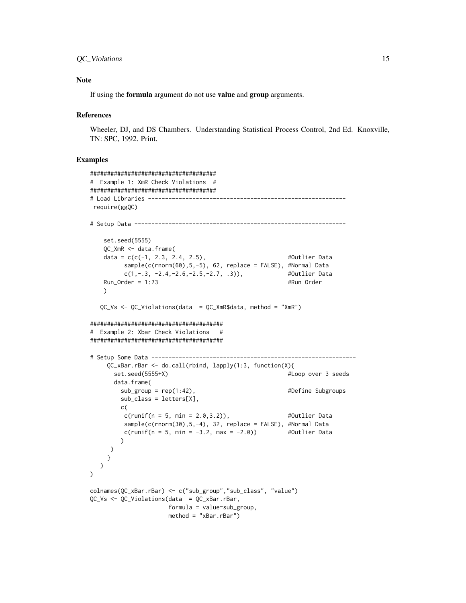### QC\_Violations 15

#### Note

If using the formula argument do not use value and group arguments.

#### **References**

Wheeler, DJ, and DS Chambers. Understanding Statistical Process Control, 2nd Ed. Knoxville, TN: SPC, 1992. Print.

```
#####################################
# Example 1: XmR Check Violations #
#####################################
# Load Libraries ----------------------------------------------------------
require(ggQC)
# Setup Data --------------------------------------------------------------
   set.seed(5555)
   QC_XmR <- data.frame(
   data = c(c(-1, 2.3, 2.4, 2.5), #Outlier Data
        sample(c(rnorm(60),5,-5), 62, replace = FALSE), #Normal Data
        c(1,-.3, -2.4,-2.6,-2.5,-2.7, .3)), #Outlier Data
   Run_Order = 1:73 #Run Order
   )
  QC_Vs <- QC_Violations(data = QC_XmR$data, method = "XmR")
#######################################
# Example 2: Xbar Check Violations #
#######################################
# Setup Some Data ------------------------------------------------------------
    QC_xBar.rBar <- do.call(rbind, lapply(1:3, function(X){
      set.seed(5555+X) #Loop over 3 seeds
      data.frame(
       sub_group = rep(1:42), \qquad \qquad #Define Subgroups
        sub_class = letters[X],
       c(
        c(runif(n = 5, min = 2.0, 3.2)), #Outlier Data
        sample(c(rnorm(30),5,-4), 32, replace = FALSE), #Normal Data
        c(runif(n = 5, min = -3.2, max = -2.0)) #Outlier Data
       )
     )
    }
  \lambda)
colnames(QC_xBar.rBar) <- c("sub_group","sub_class", "value")
QC_Vs <- QC_Violations(data = QC_xBar.rBar,
                    formula = value~sub_group,
                    method = "xBar.rBar")
```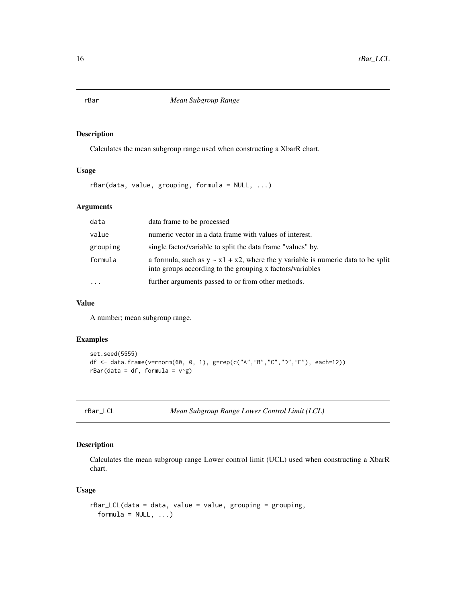Calculates the mean subgroup range used when constructing a XbarR chart.

#### Usage

rBar(data, value, grouping, formula = NULL, ...)

### Arguments

| data      | data frame to be processed                                                                                                                          |
|-----------|-----------------------------------------------------------------------------------------------------------------------------------------------------|
| value     | numeric vector in a data frame with values of interest.                                                                                             |
| grouping  | single factor/variable to split the data frame "values" by.                                                                                         |
| formula   | a formula, such as $y \sim x1 + x2$ , where the y variable is numeric data to be split<br>into groups according to the grouping x factors/variables |
| $\ddotsc$ | further arguments passed to or from other methods.                                                                                                  |

### Value

A number; mean subgroup range.

### Examples

```
set.seed(5555)
df <- data.frame(v=rnorm(60, 0, 1), g=rep(c("A","B","C","D","E"), each=12))
rBar(data = df, formula = v~g)
```
rBar\_LCL *Mean Subgroup Range Lower Control Limit (LCL)*

### Description

Calculates the mean subgroup range Lower control limit (UCL) used when constructing a XbarR chart.

### Usage

```
rBar_LCL(data = data, value = value, grouping = grouping,
 formula = NULL, ...)
```
<span id="page-15-0"></span>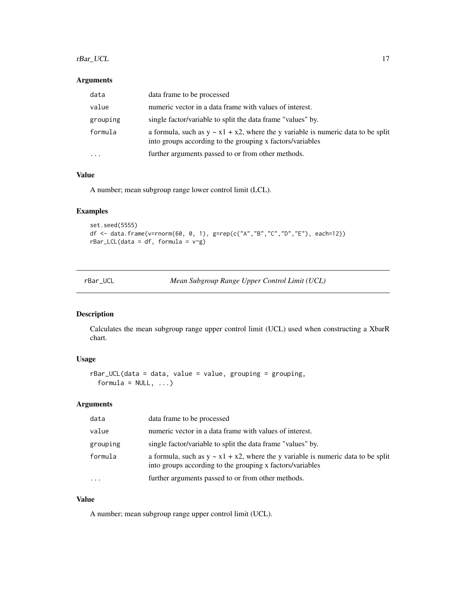### <span id="page-16-0"></span>rBar\_UCL 17

### Arguments

| data     | data frame to be processed                                                                                                                          |
|----------|-----------------------------------------------------------------------------------------------------------------------------------------------------|
| value    | numeric vector in a data frame with values of interest.                                                                                             |
| grouping | single factor/variable to split the data frame "values" by.                                                                                         |
| formula  | a formula, such as $y \sim x1 + x2$ , where the y variable is numeric data to be split<br>into groups according to the grouping x factors/variables |
| .        | further arguments passed to or from other methods.                                                                                                  |

### Value

A number; mean subgroup range lower control limit (LCL).

### Examples

```
set.seed(5555)
df <- data.frame(v=rnorm(60, 0, 1), g=rep(c("A","B","C","D","E"), each=12))
rBar\_LCL(data = df, formula = v~g)
```

| rBar UCL | Mean Subgroup Range Upper Control Limit (UCL) |  |
|----------|-----------------------------------------------|--|
|          |                                               |  |

### Description

Calculates the mean subgroup range upper control limit (UCL) used when constructing a XbarR chart.

### Usage

```
rBar_UCL(data = data, value = value, grouping = grouping,
 formula = NULL, ...)
```
### Arguments

| data      | data frame to be processed                                                                                                                          |
|-----------|-----------------------------------------------------------------------------------------------------------------------------------------------------|
| value     | numeric vector in a data frame with values of interest.                                                                                             |
| grouping  | single factor/variable to split the data frame "values" by.                                                                                         |
| formula   | a formula, such as $y \sim x1 + x2$ , where the y variable is numeric data to be split<br>into groups according to the grouping x factors/variables |
| $\ddotsc$ | further arguments passed to or from other methods.                                                                                                  |

### Value

A number; mean subgroup range upper control limit (UCL).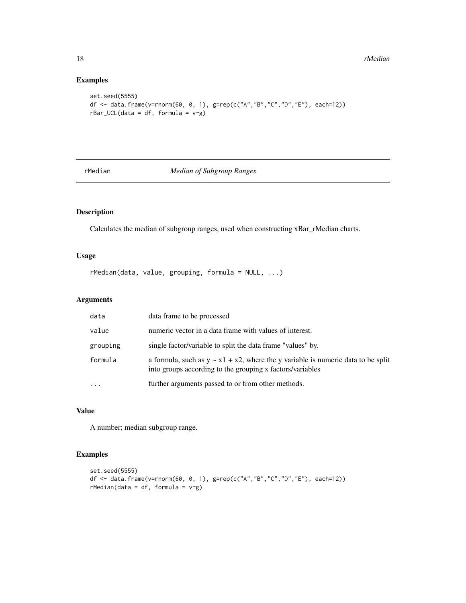### Examples

```
set.seed(5555)
df <- data.frame(v=rnorm(60, 0, 1), g=rep(c("A","B","C","D","E"), each=12))
rBar_UCL(data = df, formula = v~g)
```
rMedian *Median of Subgroup Ranges*

### Description

Calculates the median of subgroup ranges, used when constructing xBar\_rMedian charts.

### Usage

rMedian(data, value, grouping, formula = NULL, ...)

### Arguments

| data      | data frame to be processed                                                                                                                          |
|-----------|-----------------------------------------------------------------------------------------------------------------------------------------------------|
| value     | numeric vector in a data frame with values of interest.                                                                                             |
| grouping  | single factor/variable to split the data frame "values" by.                                                                                         |
| formula   | a formula, such as $y \sim x1 + x2$ , where the y variable is numeric data to be split<br>into groups according to the grouping x factors/variables |
| $\ddotsc$ | further arguments passed to or from other methods.                                                                                                  |

### Value

A number; median subgroup range.

```
set.seed(5555)
df <- data.frame(v=rnorm(60, 0, 1), g=rep(c("A","B","C","D","E"), each=12))
rMedian(data = df, formula = v~g)
```
<span id="page-17-0"></span>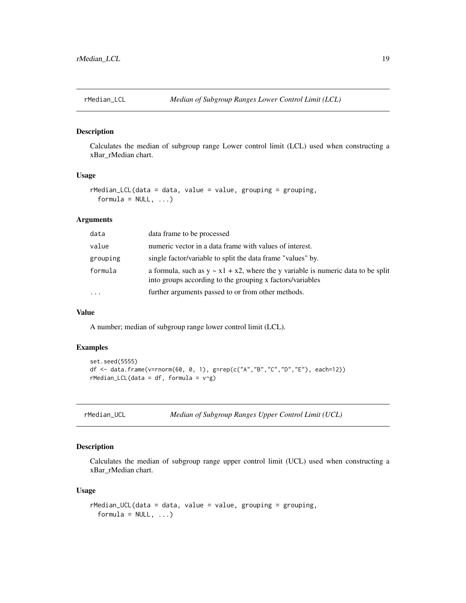<span id="page-18-0"></span>

Calculates the median of subgroup range Lower control limit (LCL) used when constructing a xBar\_rMedian chart.

### Usage

```
rMedian_LCL(data = data, value = value, grouping = grouping,
  formula = NULL, ...)
```
### Arguments

| data     | data frame to be processed                                                                                                                          |
|----------|-----------------------------------------------------------------------------------------------------------------------------------------------------|
| value    | numeric vector in a data frame with values of interest.                                                                                             |
| grouping | single factor/variable to split the data frame "values" by.                                                                                         |
| formula  | a formula, such as $y \sim x1 + x2$ , where the y variable is numeric data to be split<br>into groups according to the grouping x factors/variables |
| $\cdots$ | further arguments passed to or from other methods.                                                                                                  |

### Value

A number; median of subgroup range lower control limit (LCL).

### Examples

```
set.seed(5555)
df <- data.frame(v=rnorm(60, 0, 1), g=rep(c("A","B","C","D","E"), each=12))
rMedian_LCL(data = df, formula = v~g)
```

| rMedian UCL |
|-------------|
|-------------|

```
rMedian_UCL Median of Subgroup Ranges Upper Control Limit (UCL)
```
#### Description

Calculates the median of subgroup range upper control limit (UCL) used when constructing a xBar\_rMedian chart.

#### Usage

```
rMedian_UCL(data = data, value = value, grouping = grouping,
 formula = NULL, ...)
```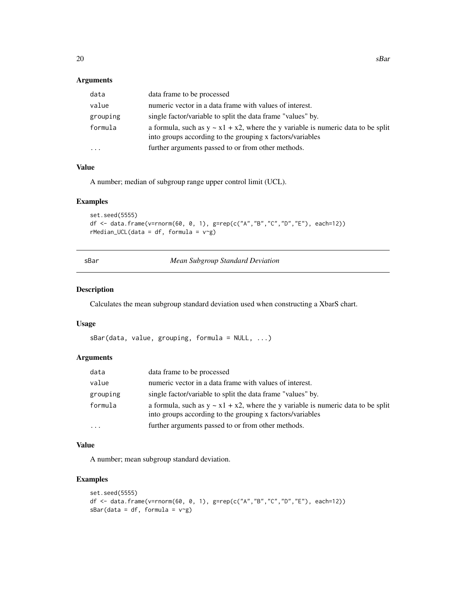### <span id="page-19-0"></span>Arguments

| data     | data frame to be processed                                                                                                                          |
|----------|-----------------------------------------------------------------------------------------------------------------------------------------------------|
| value    | numeric vector in a data frame with values of interest.                                                                                             |
| grouping | single factor/variable to split the data frame "values" by.                                                                                         |
| formula  | a formula, such as $y \sim x1 + x2$ , where the y variable is numeric data to be split<br>into groups according to the grouping x factors/variables |
| $\cdots$ | further arguments passed to or from other methods.                                                                                                  |

### Value

A number; median of subgroup range upper control limit (UCL).

#### Examples

```
set.seed(5555)
df <- data.frame(v=rnorm(60, 0, 1), g=rep(c("A","B","C","D","E"), each=12))
rMedian_UCL(data = df, formula = v~g)
```
sBar *Mean Subgroup Standard Deviation*

### Description

Calculates the mean subgroup standard deviation used when constructing a XbarS chart.

#### Usage

```
sBar(data, value, grouping, formula = NULL, ...)
```
#### Arguments

| data     | data frame to be processed                                                                                                                          |
|----------|-----------------------------------------------------------------------------------------------------------------------------------------------------|
| value    | numeric vector in a data frame with values of interest.                                                                                             |
| grouping | single factor/variable to split the data frame "values" by.                                                                                         |
| formula  | a formula, such as $y \sim x1 + x2$ , where the y variable is numeric data to be split<br>into groups according to the grouping x factors/variables |
| $\cdots$ | further arguments passed to or from other methods.                                                                                                  |

### Value

A number; mean subgroup standard deviation.

```
set.seed(5555)
df <- data.frame(v=rnorm(60, 0, 1), g=rep(c("A","B","C","D","E"), each=12))
sBar(data = df, formula = v<sup>~</sup>g)
```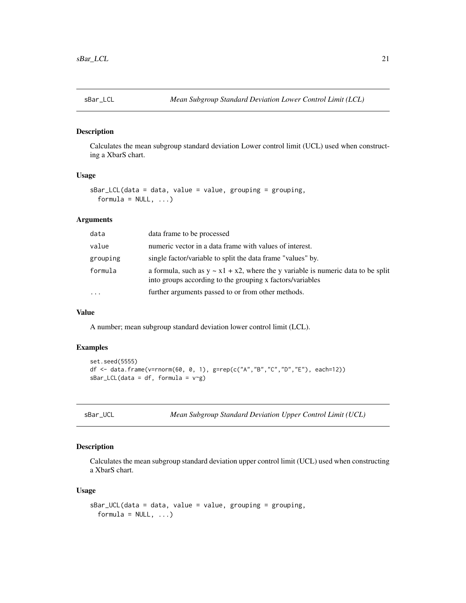<span id="page-20-0"></span>

Calculates the mean subgroup standard deviation Lower control limit (UCL) used when constructing a XbarS chart.

### Usage

```
sBar_LCL(data = data, value = value, grouping = grouping,
 formula = NULL, ...
```
### Arguments

| data     | data frame to be processed                                                                                                                          |
|----------|-----------------------------------------------------------------------------------------------------------------------------------------------------|
| value    | numeric vector in a data frame with values of interest.                                                                                             |
| grouping | single factor/variable to split the data frame "values" by.                                                                                         |
| formula  | a formula, such as $y \sim x1 + x2$ , where the y variable is numeric data to be split<br>into groups according to the grouping x factors/variables |
| $\cdots$ | further arguments passed to or from other methods.                                                                                                  |
|          |                                                                                                                                                     |

### Value

A number; mean subgroup standard deviation lower control limit (LCL).

### Examples

```
set.seed(5555)
df <- data.frame(v=rnorm(60, 0, 1), g=rep(c("A","B","C","D","E"), each=12))
sBar\_LCL(data = df, formula = v~g)
```

| sBar | UCL |
|------|-----|
|      |     |

Mean Subgroup Standard Deviation Upper Control Limit (UCL)

### Description

Calculates the mean subgroup standard deviation upper control limit (UCL) used when constructing a XbarS chart.

### Usage

```
sBar_UCL(data = data, value = value, grouping = grouping,
 formula = NULL, ...)
```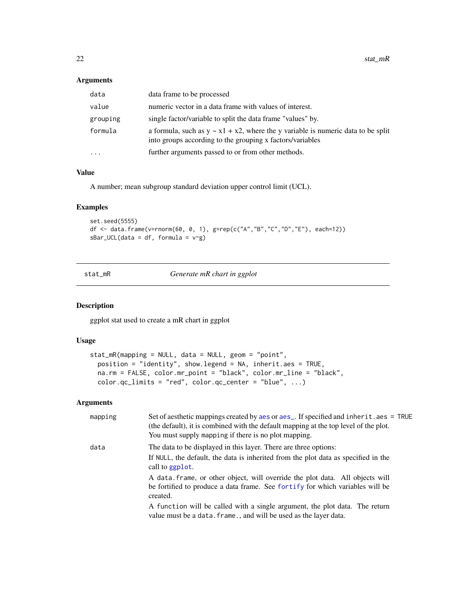### <span id="page-21-0"></span>Arguments

| data     | data frame to be processed                                                                                                                          |
|----------|-----------------------------------------------------------------------------------------------------------------------------------------------------|
| value    | numeric vector in a data frame with values of interest.                                                                                             |
| grouping | single factor/variable to split the data frame "values" by.                                                                                         |
| formula  | a formula, such as $y \sim x1 + x2$ , where the y variable is numeric data to be split<br>into groups according to the grouping x factors/variables |
| .        | further arguments passed to or from other methods.                                                                                                  |
|          |                                                                                                                                                     |

### Value

A number; mean subgroup standard deviation upper control limit (UCL).

### Examples

```
set.seed(5555)
df <- data.frame(v=rnorm(60, 0, 1), g=rep(c("A","B","C","D","E"), each=12))
sBar_UCL(data = df, formula = v \sim g)
```
stat\_mR *Generate mR chart in ggplot*

#### Description

ggplot stat used to create a mR chart in ggplot

### Usage

```
stat_mR(mapping = NULL, data = NULL, geom = "point",
 position = "identity", show.legend = NA, inherit.aes = TRUE,
 na.rm = FALSE, color.mr_point = "black", color.mr_line = "black",
 color.qc_limits = "red", color.qc_center = "blue", ...)
```
### Arguments

| mapping | Set of aesthetic mappings created by aes or aes <sub>-</sub> . If specified and inherit.aes = TRUE<br>(the default), it is combined with the default mapping at the top level of the plot.<br>You must supply mapping if there is no plot mapping. |
|---------|----------------------------------------------------------------------------------------------------------------------------------------------------------------------------------------------------------------------------------------------------|
| data    | The data to be displayed in this layer. There are three options:                                                                                                                                                                                   |
|         | If NULL, the default, the data is inherited from the plot data as specified in the<br>call to ggplot.                                                                                                                                              |
|         | A data frame, or other object, will override the plot data. All objects will<br>be fortified to produce a data frame. See fortify for which variables will be<br>created.                                                                          |
|         | A function will be called with a single argument, the plot data. The return<br>value must be a data. frame., and will be used as the layer data.                                                                                                   |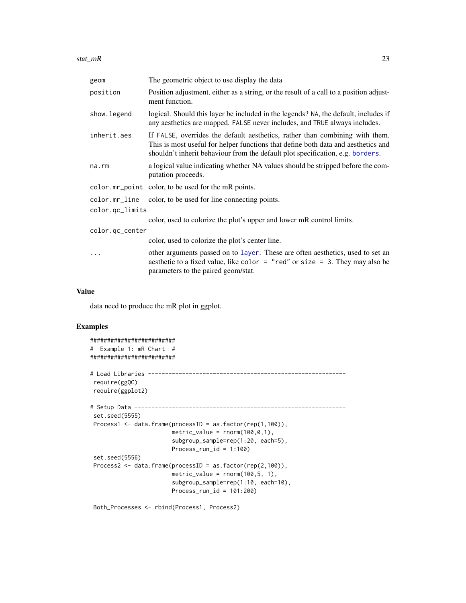<span id="page-22-0"></span>stat\_mR 23

| geom                             | The geometric object to use display the data                                                                                                                                                                                                        |
|----------------------------------|-----------------------------------------------------------------------------------------------------------------------------------------------------------------------------------------------------------------------------------------------------|
| position                         | Position adjustment, either as a string, or the result of a call to a position adjust-<br>ment function.                                                                                                                                            |
| show. legend                     | logical. Should this layer be included in the legends? NA, the default, includes if<br>any aesthetics are mapped. FALSE never includes, and TRUE always includes.                                                                                   |
| inherit.aes                      | If FALSE, overrides the default aesthetics, rather than combining with them.<br>This is most useful for helper functions that define both data and aesthetics and<br>shouldn't inherit behaviour from the default plot specification, e.g. borders. |
| $na$ . $rm$                      | a logical value indicating whether NA values should be stripped before the com-<br>putation proceeds.                                                                                                                                               |
|                                  | color.mr_point color, to be used for the mR points.                                                                                                                                                                                                 |
| color.mr_line<br>color.qc_limits | color, to be used for line connecting points.                                                                                                                                                                                                       |
|                                  | color, used to colorize the plot's upper and lower mR control limits.                                                                                                                                                                               |
| color.qc_center                  |                                                                                                                                                                                                                                                     |
|                                  | color, used to colorize the plot's center line.                                                                                                                                                                                                     |
|                                  | other arguments passed on to layer. These are often aesthetics, used to set an<br>aesthetic to a fixed value, like color = "red" or size = 3. They may also be<br>parameters to the paired geom/stat.                                               |

#### Value

data need to produce the mR plot in ggplot.

### Examples

```
#########################
# Example 1: mR Chart #
#########################
# Load Libraries ----------------------------------------------------------
require(ggQC)
require(ggplot2)
# Setup Data --------------------------------------------------------------
set.seed(5555)
Process1 <- data.frame(processID = as.factor(rep(1,100)),
                       metric_value = rnorm(100, 0, 1),subgroup_sample=rep(1:20, each=5),
                       Process_run_id = 1:100)
set.seed(5556)
Process2 <- data.frame(processID = as.factor(rep(2,100)),
                        metric_value = rnorm(100, 5, 1),
                        subgroup_sample=rep(1:10, each=10),
                       Process_run_id = 101:200)
```
Both\_Processes <- rbind(Process1, Process2)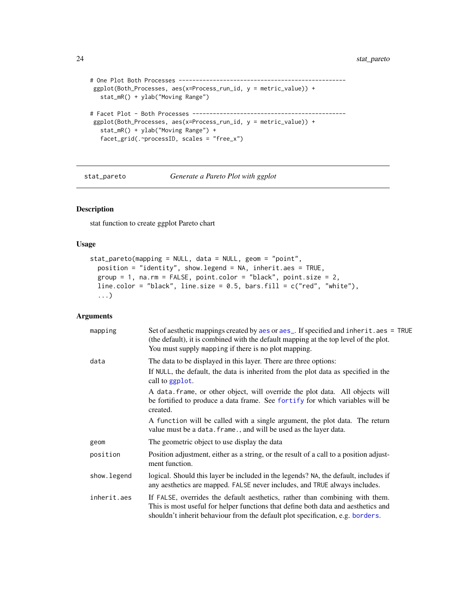```
# One Plot Both Processes -------------------------------------------------
ggplot(Both_Processes, aes(x=Process_run_id, y = metric_value)) +
  stat_mR() + ylab("Moving Range")
# Facet Plot - Both Processes ---------------------------------------------
ggplot(Both_Processes, aes(x=Process_run_id, y = metric_value)) +
  stat_mR() + ylab("Moving Range") +
  facet_grid(.~processID, scales = "free_x")
```
stat\_pareto *Generate a Pareto Plot with ggplot*

### Description

stat function to create ggplot Pareto chart

### Usage

```
stat_pareto(mapping = NULL, data = NULL, geom = "point",
 position = "identity", show.legend = NA, inherit.aes = TRUE,
 group = 1, na.rm = FALSE, point.color = "black", point.size = 2,
 line.color = "black", line.size = 0.5, bars.fill = c("red", "white"),
  ...)
```
#### Arguments

| mapping     | Set of aesthetic mappings created by aes or aes_. If specified and inherit.aes = TRUE<br>(the default), it is combined with the default mapping at the top level of the plot.<br>You must supply mapping if there is no plot mapping.               |
|-------------|-----------------------------------------------------------------------------------------------------------------------------------------------------------------------------------------------------------------------------------------------------|
| data        | The data to be displayed in this layer. There are three options:                                                                                                                                                                                    |
|             | If NULL, the default, the data is inherited from the plot data as specified in the<br>call to ggplot.                                                                                                                                               |
|             | A data frame, or other object, will override the plot data. All objects will<br>be fortified to produce a data frame. See fortify for which variables will be<br>created.                                                                           |
|             | A function will be called with a single argument, the plot data. The return<br>value must be a data. frame., and will be used as the layer data.                                                                                                    |
| geom        | The geometric object to use display the data                                                                                                                                                                                                        |
| position    | Position adjustment, either as a string, or the result of a call to a position adjust-<br>ment function.                                                                                                                                            |
| show.legend | logical. Should this layer be included in the legends? NA, the default, includes if<br>any aesthetics are mapped. FALSE never includes, and TRUE always includes.                                                                                   |
| inherit.aes | If FALSE, overrides the default aesthetics, rather than combining with them.<br>This is most useful for helper functions that define both data and aesthetics and<br>shouldn't inherit behaviour from the default plot specification, e.g. borders. |

<span id="page-23-0"></span>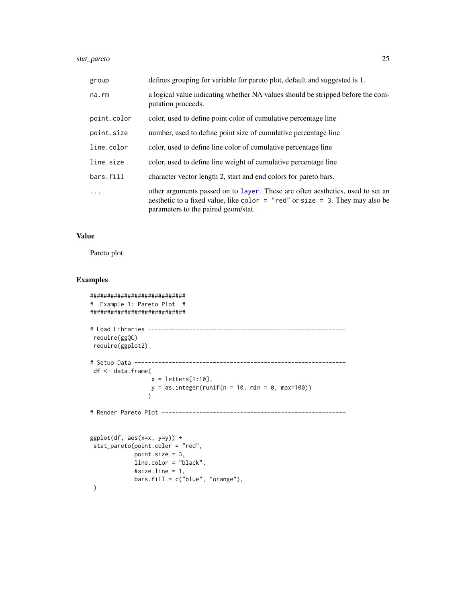### <span id="page-24-0"></span>stat\_pareto 25

| group       | defines grouping for variable for pareto plot, default and suggested is 1.                                                                                                                                |
|-------------|-----------------------------------------------------------------------------------------------------------------------------------------------------------------------------------------------------------|
| na.rm       | a logical value indicating whether NA values should be stripped before the com-<br>putation proceeds.                                                                                                     |
| point.color | color, used to define point color of cumulative percentage line                                                                                                                                           |
| point.size  | number, used to define point size of cumulative percentage line                                                                                                                                           |
| line.color  | color, used to define line color of cumulative percentage line                                                                                                                                            |
| line.size   | color, used to define line weight of cumulative percentage line                                                                                                                                           |
| bars.fill   | character vector length 2, start and end colors for pareto bars.                                                                                                                                          |
| .           | other arguments passed on to layer. These are often aesthetics, used to set an<br>aesthetic to a fixed value, like color $=$ "red" or size $=$ 3. They may also be<br>parameters to the paired geom/stat. |

#### Value

Pareto plot.

```
############################
# Example 1: Pareto Plot #
############################
# Load Libraries ----------------------------------------------------------
 require(ggQC)
 require(ggplot2)
# Setup Data --------------------------------------------------------------
 df <- data.frame(
                 x = letters[1:10],y = as.integer(runif(n = 10, min = 0, max=100))\lambda# Render Pareto Plot ------------------------------------------------------
ggplot(df, aes(x=x, y=y)) +stat_pareto(point.color = "red",
            point.size = 3,
            line.color = "black",
            #size.line = 1,
            bars.fill = c("blue", "orange"),)
```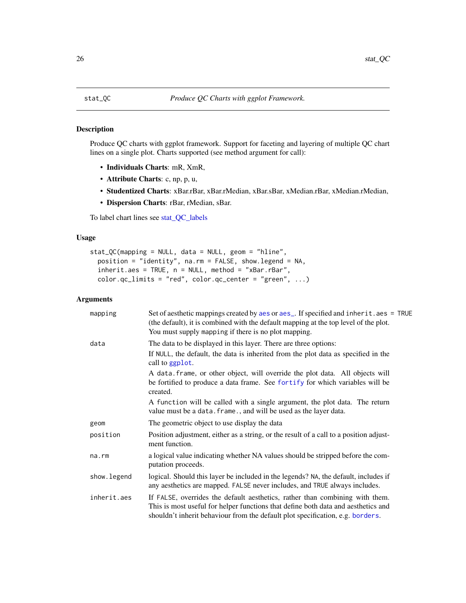<span id="page-25-0"></span>Produce QC charts with ggplot framework. Support for faceting and layering of multiple QC chart lines on a single plot. Charts supported (see method argument for call):

- Individuals Charts: mR, XmR,
- Attribute Charts: c, np, p, u,
- Studentized Charts: xBar.rBar, xBar.rMedian, xBar.sBar, xMedian.rBar, xMedian.rMedian,
- Dispersion Charts: rBar, rMedian, sBar.

To label chart lines see [stat\\_QC\\_labels](#page-28-1)

### Usage

```
stat_QC(mapping = NULL, data = NULL, geom = "hline",
 position = "identity", na.rm = FALSE, show.legend = NA,
  inherit.aes = TRUE, n = NULL, method = "xBar.rBar",
 color.qc_limits = "red", color.qc_center = "green", \dots)
```
### Arguments

| mapping     | Set of aesthetic mappings created by aes or aes_. If specified and inherit.aes = TRUE<br>(the default), it is combined with the default mapping at the top level of the plot.<br>You must supply mapping if there is no plot mapping.               |
|-------------|-----------------------------------------------------------------------------------------------------------------------------------------------------------------------------------------------------------------------------------------------------|
| data        | The data to be displayed in this layer. There are three options:                                                                                                                                                                                    |
|             | If NULL, the default, the data is inherited from the plot data as specified in the<br>call to ggplot.                                                                                                                                               |
|             | A data frame, or other object, will override the plot data. All objects will<br>be fortified to produce a data frame. See fortify for which variables will be<br>created.                                                                           |
|             | A function will be called with a single argument, the plot data. The return<br>value must be a data. frame., and will be used as the layer data.                                                                                                    |
| geom        | The geometric object to use display the data                                                                                                                                                                                                        |
| position    | Position adjustment, either as a string, or the result of a call to a position adjust-<br>ment function.                                                                                                                                            |
| na.rm       | a logical value indicating whether NA values should be stripped before the com-<br>putation proceeds.                                                                                                                                               |
| show.legend | logical. Should this layer be included in the legends? NA, the default, includes if<br>any aesthetics are mapped. FALSE never includes, and TRUE always includes.                                                                                   |
| inherit.aes | If FALSE, overrides the default aesthetics, rather than combining with them.<br>This is most useful for helper functions that define both data and aesthetics and<br>shouldn't inherit behaviour from the default plot specification, e.g. borders. |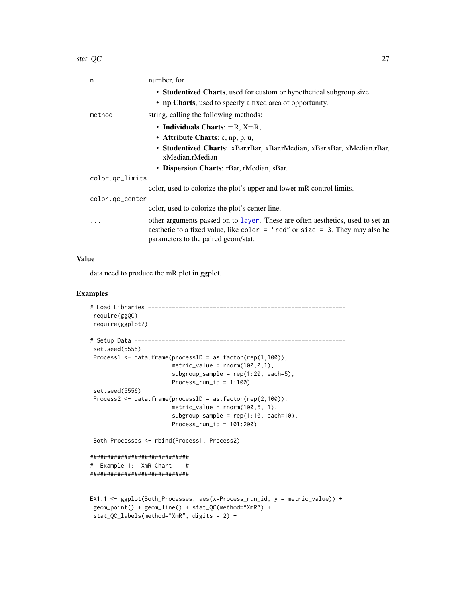<span id="page-26-0"></span>

| n               | number, for                                                                                                                                                                                           |
|-----------------|-------------------------------------------------------------------------------------------------------------------------------------------------------------------------------------------------------|
|                 | • Studentized Charts, used for custom or hypothetical subgroup size.                                                                                                                                  |
|                 | • np Charts, used to specify a fixed area of opportunity.                                                                                                                                             |
| method          | string, calling the following methods:                                                                                                                                                                |
|                 | • Individuals Charts: mR, XmR,                                                                                                                                                                        |
|                 | • Attribute Charts: c, np, p, u,                                                                                                                                                                      |
|                 | • Studentized Charts: xBar.rBar, xBar.rMedian, xBar.sBar, xMedian.rBar,<br>xMedian.rMedian                                                                                                            |
|                 | • Dispersion Charts: rBar, rMedian, sBar.                                                                                                                                                             |
| color.gc_limits |                                                                                                                                                                                                       |
|                 | color, used to colorize the plot's upper and lower mR control limits.                                                                                                                                 |
| color.gc_center |                                                                                                                                                                                                       |
|                 | color, used to colorize the plot's center line.                                                                                                                                                       |
| .               | other arguments passed on to layer. These are often aesthetics, used to set an<br>aesthetic to a fixed value, like color = "red" or size = 3. They may also be<br>parameters to the paired geom/stat. |

### Value

data need to produce the mR plot in ggplot.

```
# Load Libraries ----------------------------------------------------------
 require(ggQC)
 require(ggplot2)
# Setup Data --------------------------------------------------------------
 set.seed(5555)
 Process1 <- data.frame(processID = as.factor(rep(1,100)),
                        metric_value = rnorm(100, 0, 1),
                        subgroup\_sample = rep(1:20, each=5),Process\_run\_id = 1:100set.seed(5556)
 Process2 <- data.frame(processID = as.factor(rep(2,100)),
                       metric_value = rnorm(100, 5, 1),
                        subgroup\_sample = rep(1:10, each=10),
                       Process_run_id = 101:200)
 Both_Processes <- rbind(Process1, Process2)
#############################
# Example 1: XmR Chart #
#############################
EX1.1 <- ggplot(Both_Processes, aes(x=Process_run_id, y = metric_value)) +
 geom_point() + geom_line() + stat_QC(method="XmR") +
 stat_QC_labels(method="XmR", digits = 2) +
```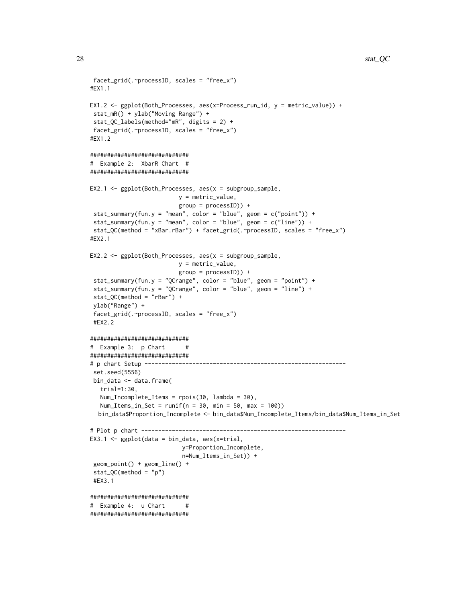```
facet_grid(.~processID, scales = "free_x")
#EX1.1
EX1.2 <- ggplot(Both_Processes, aes(x=Process_run_id, y = metric_value)) +
 stat_mR() + ylab("Moving Range") +
 stat_QC_labels(method="mR", digits = 2) +
 facet_grid(.~processID, scales = "free_x")
#EX1.2
#############################
# Example 2: XbarR Chart #
#############################
EX2.1 \leq ggplot(Both_Processes, aes(x = subgroup_sample,
                          y = metric_value,
                          group = processID)) +
 stat_summary(fun.y = "mean", color = "blue", geom = c("point")) +
 stat_summary(fun.y = "mean", color = "blue", geom = c("line")) +
 stat_QC(method = "xBar.rBar") + facet_grid(.~processID, scales = "free_x")
#EX2.1
EX2.2 <- ggplot(Both_Processes, aes(x = subgroup_sample,
                         y = metric_value,
                          group = processID)) +
 stat_summary(fun.y = "QCrange", color = "blue", geom = "point") +
 stat_summary(fun.y = "QCrange", color = "blue", geom = "line") +
 stat_QC(method = "rBar") +
 ylab("Range") +
 facet_grid(.~processID, scales = "free_x")
 #EX2.2
#############################
# Example 3: p Chart #
#############################
# p chart Setup -----------------------------------------------------------
 set.seed(5556)
 bin_data <- data.frame(
   trial=1:30,
   Num_Incomplete_Items = rpois(30, lambda = 30),
   Num_Items_in_Set = runif(n = 30, min = 50, max = 100))
  bin_data$Proportion_Incomplete <- bin_data$Num_Incomplete_Items/bin_data$Num_Items_in_Set
# Plot p chart ------------------------------------------------------------
EX3.1 \leq ggplot(data = bin_data, aes(x=trial,
                           y=Proportion_Incomplete,
                           n=Num_Items_in_Set)) +
 geom_point() + geom_line() +
 stat_QC(method = "p")#EX3.1
#############################
# Example 4: u Chart #
#############################
```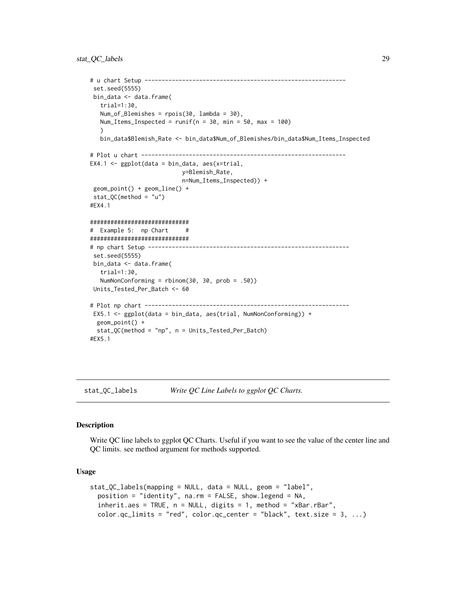```
# u chart Setup -----------------------------------------------------------
set.seed(5555)
bin_data <- data.frame(
  trial=1:30,
  Num_of_Blemishes = rpois(30, lambda = 30),
  Num_Items_Inspected = runif(n = 30, min = 50, max = 100))
  bin_data$Blemish_Rate <- bin_data$Num_of_Blemishes/bin_data$Num_Items_Inspected
# Plot u chart ------------------------------------------------------------
EX4.1 \leq ggplot(data = bin_data, aes(x=trial,
                           y=Blemish_Rate,
                           n=Num_Items_Inspected)) +
geom_point() + geom_line() +
stat_QC(method = "u")
#EX4.1
#############################
# Example 5: np Chart #
#############################
# np chart Setup -----------------------------------------------------------
set.seed(5555)
bin_data <- data.frame(
  trial=1:30,
  NumNonConforming = rbinom(30, 30, prob = .50))
Units_Tested_Per_Batch <- 60
# Plot np chart ------------------------------------------------------------
EX5.1 <- ggplot(data = bin_data, aes(trial, NumNonConforming)) +
 geom_point() +
 stat_QC(method = "np", n = Units_Tested_Per_Batch)
#EX5.1
```
<span id="page-28-1"></span>stat\_QC\_labels *Write QC Line Labels to ggplot QC Charts.*

#### Description

Write QC line labels to ggplot QC Charts. Useful if you want to see the value of the center line and QC limits. see method argument for methods supported.

### Usage

```
stat_QC_labels(mapping = NULL, data = NULL, geom = "label",
 position = "identity", na.rm = FALSE, show.legend = NA,
  inherit.aes = TRUE, n = NULL, digits = 1, method = "xBar.rBar",color.qc_limits = "red", color.qc_center = "black", text.size = 3, ...)
```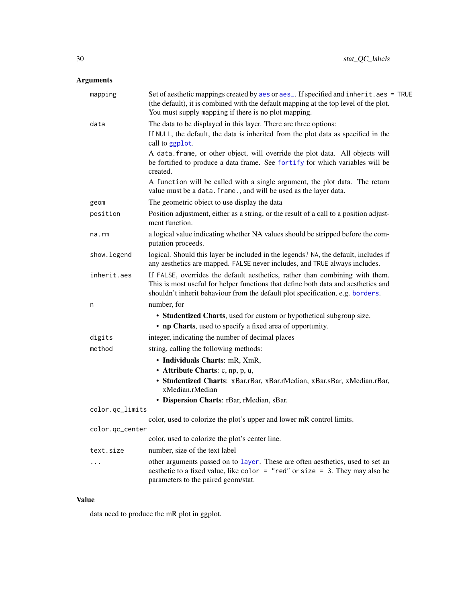### <span id="page-29-0"></span>Arguments

| mapping         | Set of aesthetic mappings created by aes or aes_. If specified and inherit.aes = TRUE<br>(the default), it is combined with the default mapping at the top level of the plot.<br>You must supply mapping if there is no plot mapping.               |
|-----------------|-----------------------------------------------------------------------------------------------------------------------------------------------------------------------------------------------------------------------------------------------------|
| data            | The data to be displayed in this layer. There are three options:                                                                                                                                                                                    |
|                 | If NULL, the default, the data is inherited from the plot data as specified in the<br>call to ggplot.                                                                                                                                               |
|                 | A data. frame, or other object, will override the plot data. All objects will<br>be fortified to produce a data frame. See fortify for which variables will be<br>created.                                                                          |
|                 | A function will be called with a single argument, the plot data. The return<br>value must be a data. frame., and will be used as the layer data.                                                                                                    |
| geom            | The geometric object to use display the data                                                                                                                                                                                                        |
| position        | Position adjustment, either as a string, or the result of a call to a position adjust-<br>ment function.                                                                                                                                            |
| na.rm           | a logical value indicating whether NA values should be stripped before the com-<br>putation proceeds.                                                                                                                                               |
| show.legend     | logical. Should this layer be included in the legends? NA, the default, includes if<br>any aesthetics are mapped. FALSE never includes, and TRUE always includes.                                                                                   |
| inherit.aes     | If FALSE, overrides the default aesthetics, rather than combining with them.<br>This is most useful for helper functions that define both data and aesthetics and<br>shouldn't inherit behaviour from the default plot specification, e.g. borders. |
| n               | number, for                                                                                                                                                                                                                                         |
|                 | • Studentized Charts, used for custom or hypothetical subgroup size.                                                                                                                                                                                |
|                 | • np Charts, used to specify a fixed area of opportunity.                                                                                                                                                                                           |
| digits          | integer, indicating the number of decimal places                                                                                                                                                                                                    |
| method          | string, calling the following methods:                                                                                                                                                                                                              |
|                 | • Individuals Charts: mR, XmR,                                                                                                                                                                                                                      |
|                 | • Attribute Charts: c, np, p, u,                                                                                                                                                                                                                    |
|                 | · Studentized Charts: xBar.rBar, xBar.rMedian, xBar.sBar, xMedian.rBar,<br>xMedian.rMedian                                                                                                                                                          |
|                 | · Dispersion Charts: rBar, rMedian, sBar.                                                                                                                                                                                                           |
| color.qc_limits |                                                                                                                                                                                                                                                     |
|                 | color, used to colorize the plot's upper and lower mR control limits.                                                                                                                                                                               |
| color.qc_center | color, used to colorize the plot's center line.                                                                                                                                                                                                     |
| text.size       | number, size of the text label                                                                                                                                                                                                                      |
| .               | other arguments passed on to layer. These are often aesthetics, used to set an                                                                                                                                                                      |
|                 | aesthetic to a fixed value, like color = "red" or size = 3. They may also be<br>parameters to the paired geom/stat.                                                                                                                                 |

### Value

data need to produce the mR plot in ggplot.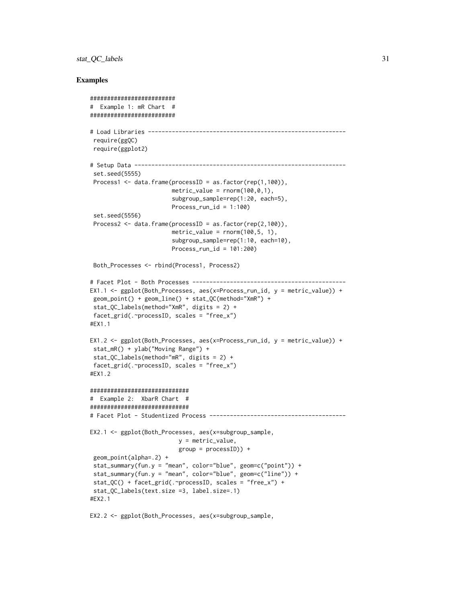### stat\_QC\_labels 31

### Examples

```
#########################
# Example 1: mR Chart #
#########################
# Load Libraries ----------------------------------------------------------
 require(ggQC)
 require(ggplot2)
# Setup Data --------------------------------------------------------------
 set.seed(5555)
 Process1 <- data.frame(processID = as.factor(rep(1,100)),
                        metric_value = rnorm(100, 0, 1),
                        subgroup_sample=rep(1:20, each=5),
                        Process\_run\_id = 1:100set.seed(5556)
 Process2 <- data.frame(processID = as.factor(rep(2,100)),
                        metric_value = rnorm(100, 5, 1),
                        subgroup_sample=rep(1:10, each=10),
                        Process_run_id = 101:200)
 Both_Processes <- rbind(Process1, Process2)
# Facet Plot - Both Processes ---------------------------------------------
EX1.1 <- ggplot(Both_Processes, aes(x=Process_run_id, y = metric_value)) +
geom_point() + geom_line() + stat_QC(method="XmR") +
 stat_QC_labels(method="XmR", digits = 2) +
facet_grid(.~processID, scales = "free_x")
#EX1.1
EX1.2 <- ggplot(Both_Processes, aes(x=Process_run_id, y = metric_value)) +
 stat_mR() + ylab("Moving Range") +
 stat_QC_labels(method="mR", digits = 2) +
 facet_grid(.~processID, scales = "free_x")
#EX1.2
#############################
# Example 2: XbarR Chart #
#############################
# Facet Plot - Studentized Process ----------------------------------------
EX2.1 <- ggplot(Both_Processes, aes(x=subgroup_sample,
                          y = metric_value,
                          group = processID)) +
 geom_point(alpha=.2) +
 stat_summary(fun.y = "mean", color="blue", geom=c("point")) +
 stat_summary(fun.y = "mean", color="blue", geom=c("line")) +
 stat_QC() + facet_grid(.~processID, scales = "free_x") +
 stat_QC_labels(text.size =3, label.size=.1)
#EX2.1
```
EX2.2 <- ggplot(Both\_Processes, aes(x=subgroup\_sample,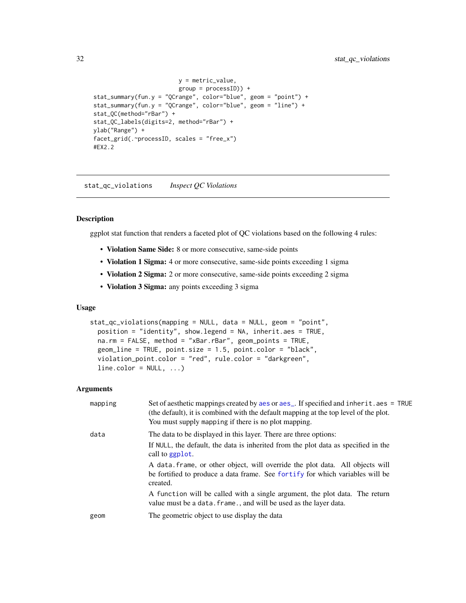```
y = metric_value,
                         group = processID)) +
stat_summary(fun.y = "QCrange", color="blue", geom = "point") +
stat_summary(fun.y = "QCrange", color="blue", geom = "line") +
stat_QC(method="rBar") +
stat_QC_labels(digits=2, method="rBar") +
ylab("Range") +
facet_grid(.~processID, scales = "free_x")
#EX2.2
```
stat\_qc\_violations *Inspect QC Violations*

#### Description

ggplot stat function that renders a faceted plot of QC violations based on the following 4 rules:

- Violation Same Side: 8 or more consecutive, same-side points
- Violation 1 Sigma: 4 or more consecutive, same-side points exceeding 1 sigma
- Violation 2 Sigma: 2 or more consecutive, same-side points exceeding 2 sigma
- Violation 3 Sigma: any points exceeding 3 sigma

#### Usage

```
stat_qc_violations(mapping = NULL, data = NULL, geom = "point",
 position = "identity", show.legend = NA, inherit.aes = TRUE,
 na.rm = FALSE, method = "xBar.rBar", geom_points = TRUE,
  geom_line = TRUE, point.size = 1.5, point.color = "black",
  violation_point.color = "red", rule.color = "darkgreen",
  line.color = NULL, ...)
```
#### Arguments

| mapping | Set of aesthetic mappings created by aes or aes <sub>-</sub> . If specified and inherit.aes = TRUE<br>(the default), it is combined with the default mapping at the top level of the plot.<br>You must supply mapping if there is no plot mapping. |
|---------|----------------------------------------------------------------------------------------------------------------------------------------------------------------------------------------------------------------------------------------------------|
| data    | The data to be displayed in this layer. There are three options:                                                                                                                                                                                   |
|         | If NULL, the default, the data is inherited from the plot data as specified in the<br>call to ggplot.                                                                                                                                              |
|         | A data frame, or other object, will override the plot data. All objects will<br>be fortified to produce a data frame. See fortify for which variables will be<br>created.                                                                          |
|         | A function will be called with a single argument, the plot data. The return<br>value must be a data. frame., and will be used as the layer data.                                                                                                   |
| geom    | The geometric object to use display the data                                                                                                                                                                                                       |
|         |                                                                                                                                                                                                                                                    |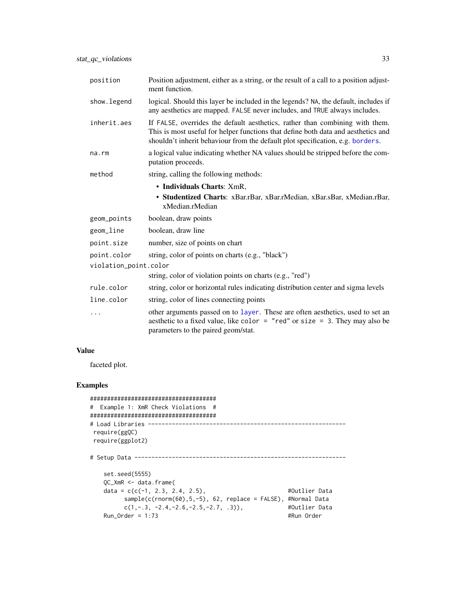<span id="page-32-0"></span>

| position              | Position adjustment, either as a string, or the result of a call to a position adjust-<br>ment function.                                                                                                                                            |  |
|-----------------------|-----------------------------------------------------------------------------------------------------------------------------------------------------------------------------------------------------------------------------------------------------|--|
| show.legend           | logical. Should this layer be included in the legends? NA, the default, includes if<br>any aesthetics are mapped. FALSE never includes, and TRUE always includes.                                                                                   |  |
| inherit.aes           | If FALSE, overrides the default aesthetics, rather than combining with them.<br>This is most useful for helper functions that define both data and aesthetics and<br>shouldn't inherit behaviour from the default plot specification, e.g. borders. |  |
| na.rm                 | a logical value indicating whether NA values should be stripped before the com-<br>putation proceeds.                                                                                                                                               |  |
| method                | string, calling the following methods:                                                                                                                                                                                                              |  |
|                       | • Individuals Charts: XmR,                                                                                                                                                                                                                          |  |
|                       | • Studentized Charts: xBar.rBar, xBar.rMedian, xBar.sBar, xMedian.rBar,<br>xMedian.rMedian                                                                                                                                                          |  |
| geom_points           | boolean, draw points                                                                                                                                                                                                                                |  |
| geom_line             | boolean, draw line                                                                                                                                                                                                                                  |  |
| point.size            | number, size of points on chart                                                                                                                                                                                                                     |  |
| point.color           | string, color of points on charts (e.g., "black")                                                                                                                                                                                                   |  |
| violation_point.color |                                                                                                                                                                                                                                                     |  |
|                       | string, color of violation points on charts (e.g., "red")                                                                                                                                                                                           |  |
| rule.color            | string, color or horizontal rules indicating distribution center and sigma levels                                                                                                                                                                   |  |
| line.color            | string, color of lines connecting points                                                                                                                                                                                                            |  |
| .                     | other arguments passed on to layer. These are often aesthetics, used to set an<br>aesthetic to a fixed value, like color = "red" or size = 3. They may also be<br>parameters to the paired geom/stat.                                               |  |

### Value

faceted plot.

| # Example 1: XmR Check Violations #                   |               |
|-------------------------------------------------------|---------------|
|                                                       |               |
| # Load Libraries<br>require(ggOC)<br>require(ggplot2) |               |
| # Setup Data ---                                      |               |
| set.seed(5555)                                        |               |
| $OC_XmR \leq -$ data.frame(                           |               |
| data = $c(c(-1, 2.3, 2.4, 2.5))$ ,                    | #Outlier Data |
| $sample(c(rnorm(60), 5, -5), 62, replace = FALSE),$   | #Normal Data  |
| $c(1,-.3,-2.4,-2.6,-2.5,-2.7,.3)$ .                   | #Outlier Data |
| Run Order = $1:73$                                    | #Run Order    |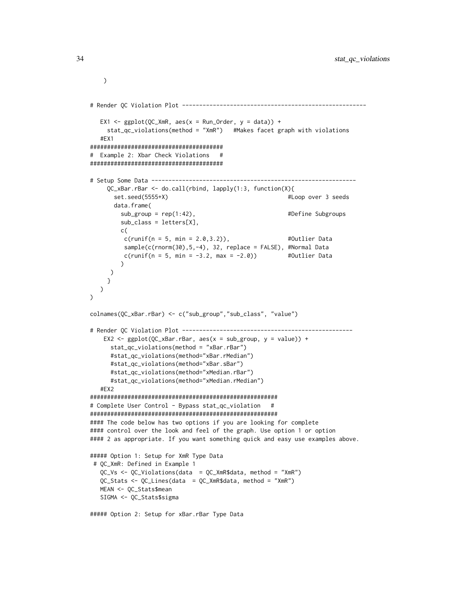```
# Render QC Violation Plot ------------------------------------------------------
  EX1 <- ggplot(QC_XMR, aes(x = Run_C order, y = data)) +stat_qc_violations(method = "XmR") #Makes facet graph with violations
  #EX1
#######################################
# Example 2: Xbar Check Violations #
#######################################
# Setup Some Data ------------------------------------------------------------
     QC_xBar.rBar <- do.call(rbind, lapply(1:3, function(X){
      set.seed(5555+X) #Loop over 3 seeds
      data.frame(
        sub_group = rep(1:42), \qquad #Define Subgroups
        sub_class = letters[X],
        c(
         c(runif(n = 5, min = 2.0, 3.2)), #Outlier Data
         sample(c(rnorm(30),5,-4), 32, replace = FALSE), #Normal Data
         c(runif(n = 5, min = -3.2, max = -2.0)) #Outlier Data
        \lambda)
    }
  )
\lambdacolnames(QC_xBar.rBar) <- c("sub_group","sub_class", "value")
# Render QC Violation Plot --------------------------------------------------
   EX2 <- ggplot(QC_xBar.rBar, aes(x = sub_group, y = value)) +stat_qc_violations(method = "xBar.rBar")
     #stat_qc_violations(method="xBar.rMedian")
     #stat_qc_violations(method="xBar.sBar")
     #stat_qc_violations(method="xMedian.rBar")
     #stat_qc_violations(method="xMedian.rMedian")
  #EX2
#######################################################
# Complete User Control - Bypass stat_qc_violation #
#######################################################
#### The code below has two options if you are looking for complete
#### control over the look and feel of the graph. Use option 1 or option
#### 2 as appropriate. If you want something quick and easy use examples above.
##### Option 1: Setup for XmR Type Data
# QC_XmR: Defined in Example 1
  QC_Vs <- QC_Violations(data = QC_XmR$data, method = "XmR")
  QC_Stats <- QC_Lines(data = QC_XmR$data, method = "XmR")
  MEAN <- QC_Stats$mean
  SIGMA <- QC_Stats$sigma
```
##### Option 2: Setup for xBar.rBar Type Data

 $\mathcal{L}$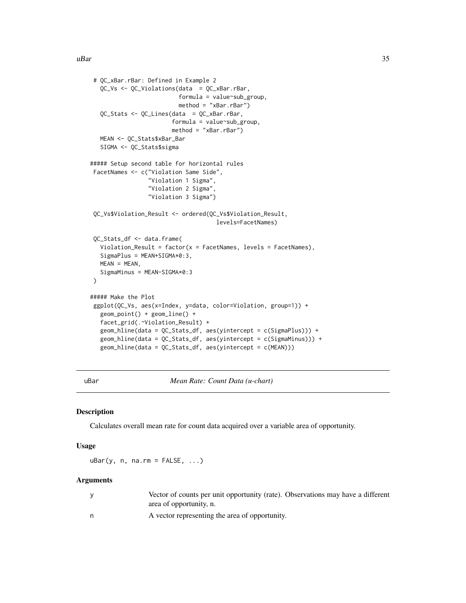```
# QC_xBar.rBar: Defined in Example 2
  QC_Vs <- QC_Violations(data = QC_xBar.rBar,
                         formula = value~sub_group,
                         method = "xBar.rBar")
  QC_Stats <- QC_Lines(data = QC_xBar.rBar,
                       formula = value~sub_group,
                       method = "xBar.rBar")
  MEAN <- QC_Stats$xBar_Bar
  SIGMA <- QC_Stats$sigma
##### Setup second table for horizontal rules
FacetNames <- c("Violation Same Side",
                 "Violation 1 Sigma",
                 "Violation 2 Sigma",
                 "Violation 3 Sigma")
QC_Vs$Violation_Result <- ordered(QC_Vs$Violation_Result,
                                     levels=FacetNames)
QC_Stats_df <- data.frame(
  Violation_Result = factor(x = Factor) levels = Factor(s),
  SigmaPlus = MEAN+SIGMA*0:3,
  MEAN = MEAN,
  SigmaMinus = MEAN-SIGMA*0:3
\lambda##### Make the Plot
ggplot(QC_Vs, aes(x=Index, y=data, color=Violation, group=1)) +
  geom_point() + geom_line() +
  facet_grid(.~Violation_Result) +
  geom_hline(data = QC_Stats_df, aes(yintercept = c(SigmaPlus))) +
  geom_hline(data = QC_Stats_df, aes(yintercept = c(SigmaMinus))) +
  geom_hline(data = QC_Stats_df, aes(yintercept = c(MEAN)))
```
uBar *Mean Rate: Count Data (u-chart)*

#### Description

Calculates overall mean rate for count data acquired over a variable area of opportunity.

#### Usage

 $uBar(y, n, na.rm = FALSE, ...)$ 

#### Arguments

| Vector of counts per unit opportunity (rate). Observations may have a different |
|---------------------------------------------------------------------------------|
| area of opportunity, n.                                                         |
| A vector representing the area of opportunity.                                  |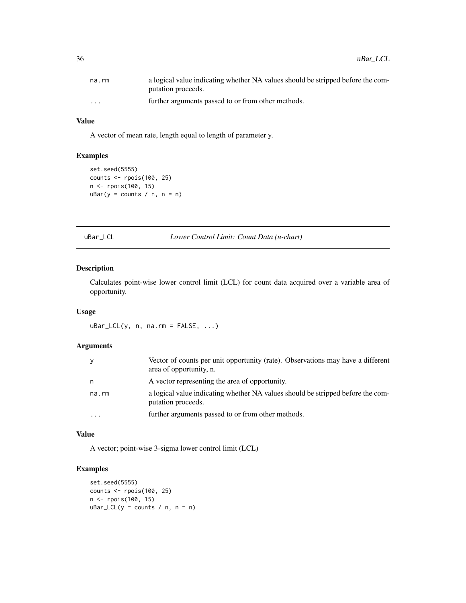<span id="page-35-0"></span>

| na.rm             | a logical value indicating whether NA values should be stripped before the com- |
|-------------------|---------------------------------------------------------------------------------|
|                   | putation proceeds.                                                              |
| $\cdot\cdot\cdot$ | further arguments passed to or from other methods.                              |

### Value

A vector of mean rate, length equal to length of parameter y.

### Examples

```
set.seed(5555)
counts <- rpois(100, 25)
n <- rpois(100, 15)
uBar(y = counts / n, n = n)
```
uBar\_LCL *Lower Control Limit: Count Data (u-chart)*

### Description

Calculates point-wise lower control limit (LCL) for count data acquired over a variable area of opportunity.

### Usage

 $uBar\_LCL(y, n, na.rm = FALSE, ...)$ 

#### Arguments

| y     | Vector of counts per unit opportunity (rate). Observations may have a different<br>area of opportunity, n. |
|-------|------------------------------------------------------------------------------------------------------------|
| n     | A vector representing the area of opportunity.                                                             |
| na.rm | a logical value indicating whether NA values should be stripped before the com-<br>putation proceeds.      |
|       | further arguments passed to or from other methods.                                                         |

#### Value

A vector; point-wise 3-sigma lower control limit (LCL)

```
set.seed(5555)
counts <- rpois(100, 25)
n <- rpois(100, 15)
uBar\_LCL(y = counts / n, n = n)
```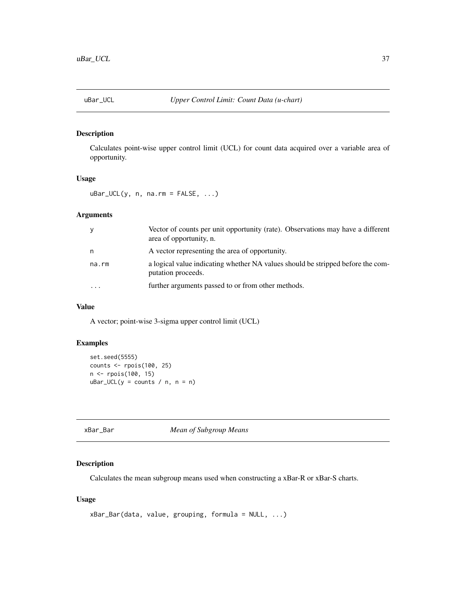<span id="page-36-0"></span>

Calculates point-wise upper control limit (UCL) for count data acquired over a variable area of opportunity.

### Usage

 $uBar\_UCL(y, n, na.rm = FALSE, ...)$ 

### Arguments

|           | Vector of counts per unit opportunity (rate). Observations may have a different<br>area of opportunity, n. |
|-----------|------------------------------------------------------------------------------------------------------------|
| n         | A vector representing the area of opportunity.                                                             |
| na.rm     | a logical value indicating whether NA values should be stripped before the com-<br>putation proceeds.      |
| $\ddotsc$ | further arguments passed to or from other methods.                                                         |

### Value

A vector; point-wise 3-sigma upper control limit (UCL)

### Examples

```
set.seed(5555)
counts <- rpois(100, 25)
n <- rpois(100, 15)
uBar_UCL(y = counts / n, n = n)
```
xBar\_Bar *Mean of Subgroup Means*

### Description

Calculates the mean subgroup means used when constructing a xBar-R or xBar-S charts.

### Usage

```
xBar_Bar(data, value, grouping, formula = NULL, ...)
```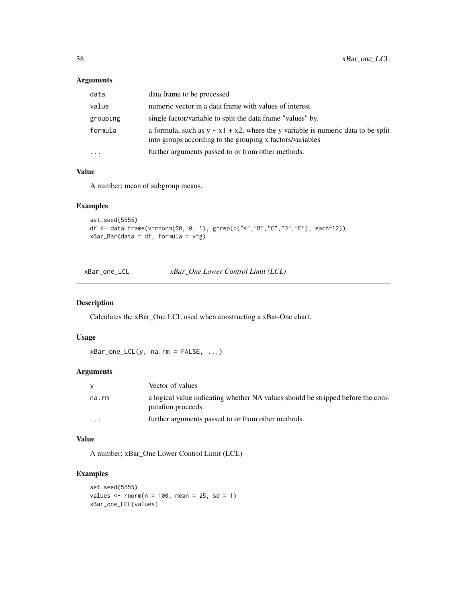### <span id="page-37-0"></span>Arguments

| data     | data frame to be processed                                                                                                                          |
|----------|-----------------------------------------------------------------------------------------------------------------------------------------------------|
| value    | numeric vector in a data frame with values of interest.                                                                                             |
| grouping | single factor/variable to split the data frame "values" by.                                                                                         |
| formula  | a formula, such as $y \sim x1 + x2$ , where the y variable is numeric data to be split<br>into groups according to the grouping x factors/variables |
| $\cdots$ | further arguments passed to or from other methods.                                                                                                  |

### Value

A number; mean of subgroup means.

### Examples

```
set.seed(5555)
df <- data.frame(v=rnorm(60, 0, 1), g=rep(c("A","B","C","D","E"), each=12))
xBar_Bar(data = df, formula = v<sup>2</sup>g)
```
xBar\_one\_LCL *xBar\_One Lower Control Limit (LCL)*

#### Description

Calculates the xBar\_One LCL used when constructing a xBar-One chart.

### Usage

xBar\_one\_LCL(y, na.rm = FALSE, ...)

#### Arguments

|          | Vector of values                                                                                      |
|----------|-------------------------------------------------------------------------------------------------------|
| na.rm    | a logical value indicating whether NA values should be stripped before the com-<br>putation proceeds. |
| $\cdots$ | further arguments passed to or from other methods.                                                    |

### Value

A number; xBar\_One Lower Control Limit (LCL)

```
set.seed(5555)
values \le rnorm(n = 100, mean = 25, sd = 1)
xBar_one_LCL(values)
```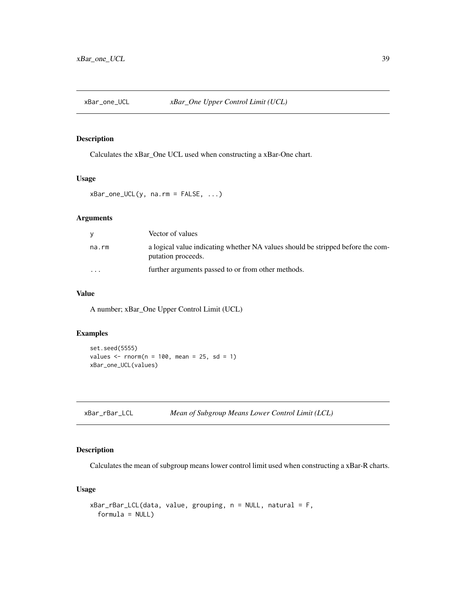<span id="page-38-0"></span>

Calculates the xBar\_One UCL used when constructing a xBar-One chart.

#### Usage

 $xBar\_one\_UCL(y, na.rm = FALSE, ...)$ 

### Arguments

| У        | Vector of values                                                                                      |
|----------|-------------------------------------------------------------------------------------------------------|
| na.rm    | a logical value indicating whether NA values should be stripped before the com-<br>putation proceeds. |
| $\cdots$ | further arguments passed to or from other methods.                                                    |

### Value

A number; xBar\_One Upper Control Limit (UCL)

### Examples

```
set.seed(5555)
values \le- rnorm(n = 100, mean = 25, sd = 1)
xBar_one_UCL(values)
```

| xBar_rBar_LCL | Mean of Subgroup Means Lower Control Limit (LCL) |  |
|---------------|--------------------------------------------------|--|
|---------------|--------------------------------------------------|--|

### Description

Calculates the mean of subgroup means lower control limit used when constructing a xBar-R charts.

### Usage

```
xBar_rBar_LCL(data, value, grouping, n = NULL, natural = F,
  formula = NULL)
```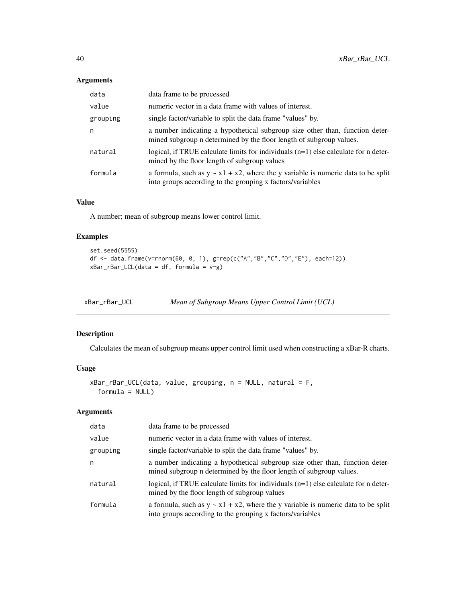### Arguments

| data     | data frame to be processed                                                                                                                          |
|----------|-----------------------------------------------------------------------------------------------------------------------------------------------------|
| value    | numeric vector in a data frame with values of interest.                                                                                             |
| grouping | single factor/variable to split the data frame "values" by.                                                                                         |
| n        | a number indicating a hypothetical subgroup size other than, function deter-<br>mined subgroup n determined by the floor length of subgroup values. |
| natural  | logical, if TRUE calculate limits for individuals $(n=1)$ else calculate for n deter-<br>mined by the floor length of subgroup values               |
| formula  | a formula, such as $y \sim x1 + x2$ , where the y variable is numeric data to be split<br>into groups according to the grouping x factors/variables |

### Value

A number; mean of subgroup means lower control limit.

### Examples

```
set.seed(5555)
df <- data.frame(v=rnorm(60, 0, 1), g=rep(c("A","B","C","D","E"), each=12))
xBar_rBar\_LCL(data = df, formula = v^2g)
```

| xBar_rBar_UCL | Mean of Subgroup Means Upper Control Limit (UCL) |
|---------------|--------------------------------------------------|
|---------------|--------------------------------------------------|

### Description

Calculates the mean of subgroup means upper control limit used when constructing a xBar-R charts.

### Usage

```
xBar_rBar_UCL(data, value, grouping, n = NULL, natural = F,
 formula = NULL)
```
### Arguments

| data     | data frame to be processed                                                                                                                          |
|----------|-----------------------------------------------------------------------------------------------------------------------------------------------------|
| value    | numeric vector in a data frame with values of interest.                                                                                             |
| grouping | single factor/variable to split the data frame "values" by.                                                                                         |
| n        | a number indicating a hypothetical subgroup size other than, function deter-<br>mined subgroup n determined by the floor length of subgroup values. |
| natural  | logical, if TRUE calculate limits for individuals $(n=1)$ else calculate for n deter-<br>mined by the floor length of subgroup values               |
| formula  | a formula, such as $y \sim x1 + x2$ , where the y variable is numeric data to be split<br>into groups according to the grouping x factors/variables |

<span id="page-39-0"></span>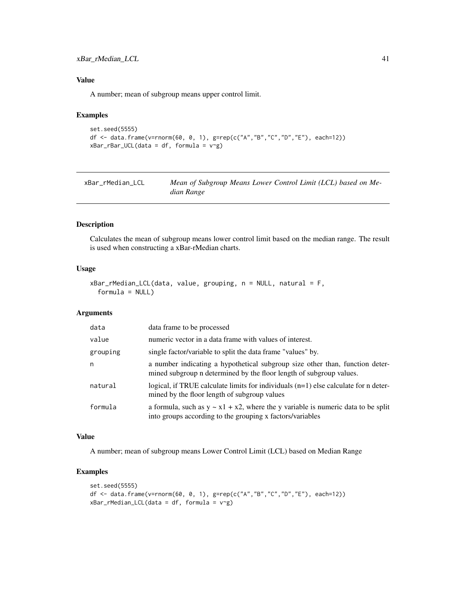### <span id="page-40-0"></span>xBar\_rMedian\_LCL 41

### Value

A number; mean of subgroup means upper control limit.

### Examples

```
set.seed(5555)
df <- data.frame(v=rnorm(60, 0, 1), g=rep(c("A","B","C","D","E"), each=12))
xBar_rBar_UCL(data = df, formula = v~g)
```

| xBar_rMedian_LCL | Mean of Subgroup Means Lower Control Limit (LCL) based on Me- |
|------------------|---------------------------------------------------------------|
|                  | dian Range                                                    |

#### Description

Calculates the mean of subgroup means lower control limit based on the median range. The result is used when constructing a xBar-rMedian charts.

#### Usage

```
xBar_rMedian_LCL(data, value, grouping, n = NULL, natural = F,
 formula = NULL)
```
#### Arguments

| data     | data frame to be processed                                                                                                                          |
|----------|-----------------------------------------------------------------------------------------------------------------------------------------------------|
| value    | numeric vector in a data frame with values of interest.                                                                                             |
| grouping | single factor/variable to split the data frame "values" by.                                                                                         |
| n        | a number indicating a hypothetical subgroup size other than, function deter-<br>mined subgroup n determined by the floor length of subgroup values. |
| natural  | logical, if TRUE calculate limits for individuals $(n=1)$ else calculate for n deter-<br>mined by the floor length of subgroup values               |
| formula  | a formula, such as $y \sim x1 + x2$ , where the y variable is numeric data to be split<br>into groups according to the grouping x factors/variables |

### Value

A number; mean of subgroup means Lower Control Limit (LCL) based on Median Range

```
set.seed(5555)
df <- data.frame(v=rnorm(60, 0, 1), g=rep(c("A","B","C","D","E"), each=12))
xBar_rMedian_LCL(data = df, formula = v~g)
```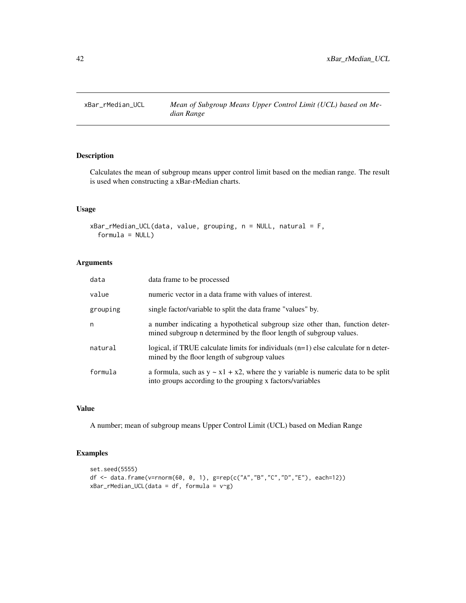<span id="page-41-0"></span>

Calculates the mean of subgroup means upper control limit based on the median range. The result is used when constructing a xBar-rMedian charts.

### Usage

```
xBar_rMedian_UCL(data, value, grouping, n = NULL, natural = F,
  formula = NULL)
```
### Arguments

| data     | data frame to be processed                                                                                                                          |
|----------|-----------------------------------------------------------------------------------------------------------------------------------------------------|
| value    | numeric vector in a data frame with values of interest.                                                                                             |
| grouping | single factor/variable to split the data frame "values" by.                                                                                         |
| n        | a number indicating a hypothetical subgroup size other than, function deter-<br>mined subgroup n determined by the floor length of subgroup values. |
| natural  | logical, if TRUE calculate limits for individuals $(n=1)$ else calculate for n deter-<br>mined by the floor length of subgroup values               |
| formula  | a formula, such as $y \sim x1 + x2$ , where the y variable is numeric data to be split<br>into groups according to the grouping x factors/variables |

### Value

A number; mean of subgroup means Upper Control Limit (UCL) based on Median Range

```
set.seed(5555)
df <- data.frame(v=rnorm(60, 0, 1), g=rep(c("A","B","C","D","E"), each=12))
xBar_rMedian_UCL(data = df, formula = v<sup>o</sup>g)
```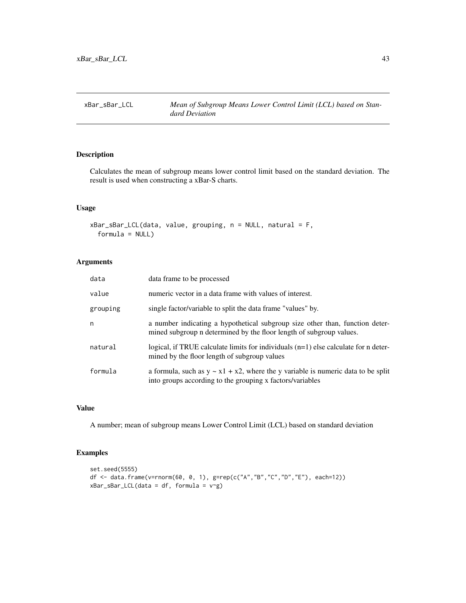<span id="page-42-0"></span>

Calculates the mean of subgroup means lower control limit based on the standard deviation. The result is used when constructing a xBar-S charts.

#### Usage

```
xBar_sBar_LCL(data, value, grouping, n = NULL, natural = F,
  formula = NULL)
```
### Arguments

| data     | data frame to be processed                                                                                                                          |
|----------|-----------------------------------------------------------------------------------------------------------------------------------------------------|
| value    | numeric vector in a data frame with values of interest.                                                                                             |
| grouping | single factor/variable to split the data frame "values" by.                                                                                         |
| n        | a number indicating a hypothetical subgroup size other than, function deter-<br>mined subgroup n determined by the floor length of subgroup values. |
| natural  | logical, if TRUE calculate limits for individuals $(n=1)$ else calculate for n deter-<br>mined by the floor length of subgroup values               |
| formula  | a formula, such as $y \sim x1 + x2$ , where the y variable is numeric data to be split<br>into groups according to the grouping x factors/variables |

### Value

A number; mean of subgroup means Lower Control Limit (LCL) based on standard deviation

```
set.seed(5555)
df <- data.frame(v=rnorm(60, 0, 1), g=rep(c("A","B","C","D","E"), each=12))
xBar_SBar\_LCL(data = df, formula = v-g)
```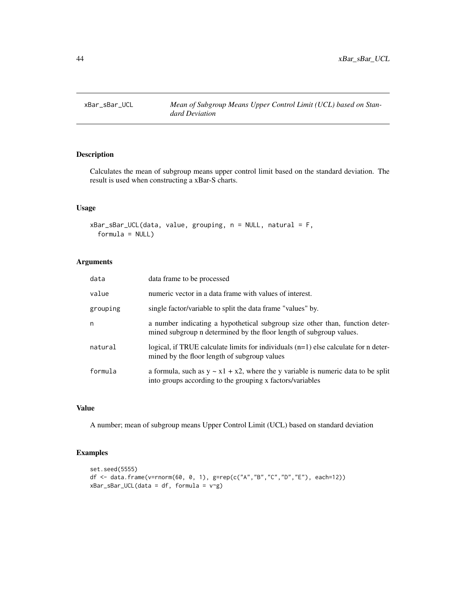<span id="page-43-0"></span>

Calculates the mean of subgroup means upper control limit based on the standard deviation. The result is used when constructing a xBar-S charts.

#### Usage

```
xBar_sBar_UCL(data, value, grouping, n = NULL, natural = F,
  formula = NULL)
```
### Arguments

| data     | data frame to be processed                                                                                                                          |
|----------|-----------------------------------------------------------------------------------------------------------------------------------------------------|
| value    | numeric vector in a data frame with values of interest.                                                                                             |
| grouping | single factor/variable to split the data frame "values" by.                                                                                         |
| n        | a number indicating a hypothetical subgroup size other than, function deter-<br>mined subgroup n determined by the floor length of subgroup values. |
| natural  | logical, if TRUE calculate limits for individuals $(n=1)$ else calculate for n deter-<br>mined by the floor length of subgroup values               |
| formula  | a formula, such as $y \sim x1 + x2$ , where the y variable is numeric data to be split<br>into groups according to the grouping x factors/variables |

### Value

A number; mean of subgroup means Upper Control Limit (UCL) based on standard deviation

```
set.seed(5555)
df <- data.frame(v=rnorm(60, 0, 1), g=rep(c("A","B","C","D","E"), each=12))
xBar_SBar_UCL(data = df, formula = v~g)
```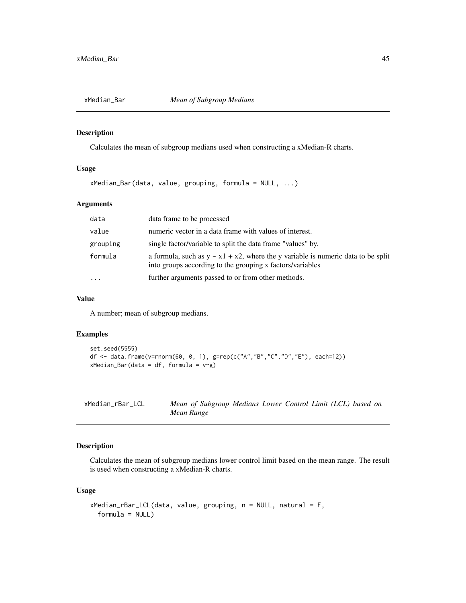<span id="page-44-0"></span>

Calculates the mean of subgroup medians used when constructing a xMedian-R charts.

### Usage

xMedian\_Bar(data, value, grouping, formula = NULL, ...)

#### Arguments

| data                    | data frame to be processed                                                                                                                          |
|-------------------------|-----------------------------------------------------------------------------------------------------------------------------------------------------|
| value                   | numeric vector in a data frame with values of interest.                                                                                             |
| grouping                | single factor/variable to split the data frame "values" by.                                                                                         |
| formula                 | a formula, such as $y \sim x1 + x2$ , where the y variable is numeric data to be split<br>into groups according to the grouping x factors/variables |
| $\cdot$ $\cdot$ $\cdot$ | further arguments passed to or from other methods.                                                                                                  |

### Value

A number; mean of subgroup medians.

### Examples

```
set.seed(5555)
df <- data.frame(v=rnorm(60, 0, 1), g=rep(c("A","B","C","D","E"), each=12))
xMedian_Bar(data = df, formula = v<sup>~</sup>g)
```

| xMedian_rBar_LCL | Mean of Subgroup Medians Lower Control Limit (LCL) based on |  |  |  |  |
|------------------|-------------------------------------------------------------|--|--|--|--|
|                  | Mean Range                                                  |  |  |  |  |

### Description

Calculates the mean of subgroup medians lower control limit based on the mean range. The result is used when constructing a xMedian-R charts.

### Usage

```
xMedian_rBar_LCL(data, value, grouping, n = NULL, natural = F,
  formula = NULL)
```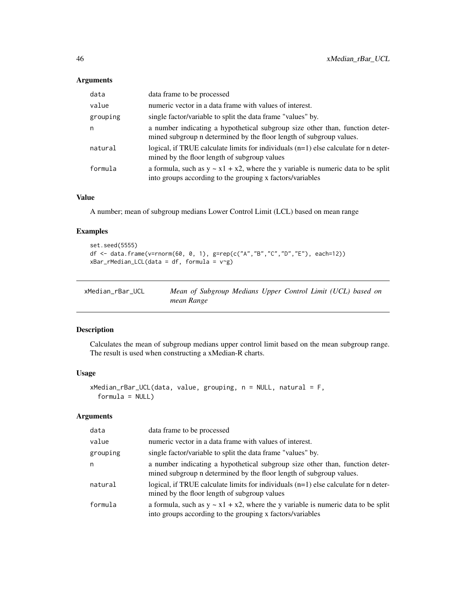### <span id="page-45-0"></span>Arguments

| data     | data frame to be processed                                                                                                                          |
|----------|-----------------------------------------------------------------------------------------------------------------------------------------------------|
| value    | numeric vector in a data frame with values of interest.                                                                                             |
| grouping | single factor/variable to split the data frame "values" by.                                                                                         |
| n        | a number indicating a hypothetical subgroup size other than, function deter-<br>mined subgroup n determined by the floor length of subgroup values. |
| natural  | logical, if TRUE calculate limits for individuals $(n=1)$ else calculate for n deter-<br>mined by the floor length of subgroup values               |
| formula  | a formula, such as $y \sim x1 + x2$ , where the y variable is numeric data to be split<br>into groups according to the grouping x factors/variables |

### Value

A number; mean of subgroup medians Lower Control Limit (LCL) based on mean range

### Examples

```
set.seed(5555)
df <- data.frame(v=rnorm(60, 0, 1), g=rep(c("A","B","C","D","E"), each=12))
xBar_rMedian_LCL(data = df, formula = v-g)
```

| xMedian_rBar_UCL | Mean of Subgroup Medians Upper Control Limit (UCL) based on |  |  |  |  |
|------------------|-------------------------------------------------------------|--|--|--|--|
|                  | mean Range                                                  |  |  |  |  |

### Description

Calculates the mean of subgroup medians upper control limit based on the mean subgroup range. The result is used when constructing a xMedian-R charts.

### Usage

```
xMedian_rBar_UCL(data, value, grouping, n = NULL, natural = F,
  formula = NULL)
```
### Arguments

| data     | data frame to be processed                                                                                                                          |
|----------|-----------------------------------------------------------------------------------------------------------------------------------------------------|
| value    | numeric vector in a data frame with values of interest.                                                                                             |
| grouping | single factor/variable to split the data frame "values" by.                                                                                         |
| n        | a number indicating a hypothetical subgroup size other than, function deter-<br>mined subgroup n determined by the floor length of subgroup values. |
| natural  | logical, if TRUE calculate limits for individuals (n=1) else calculate for n deter-<br>mined by the floor length of subgroup values                 |
| formula  | a formula, such as $y \sim x1 + x2$ , where the y variable is numeric data to be split<br>into groups according to the grouping x factors/variables |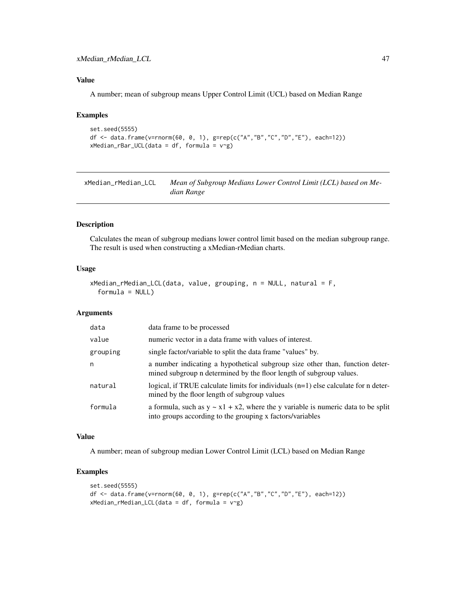### <span id="page-46-0"></span>Value

A number; mean of subgroup means Upper Control Limit (UCL) based on Median Range

#### Examples

```
set.seed(5555)
df <- data.frame(v=rnorm(60, 0, 1), g=rep(c("A","B","C","D","E"), each=12))
xMedian_rBar_UCL(data = df, formula = v~g)
```
xMedian\_rMedian\_LCL *Mean of Subgroup Medians Lower Control Limit (LCL) based on Median Range*

### Description

Calculates the mean of subgroup medians lower control limit based on the median subgroup range. The result is used when constructing a xMedian-rMedian charts.

#### Usage

```
xMedian_rMedian_LCL(data, value, grouping, n = NULL, natural = F,
  formula = NULL)
```
### Arguments

| data     | data frame to be processed                                                                                                                          |
|----------|-----------------------------------------------------------------------------------------------------------------------------------------------------|
| value    | numeric vector in a data frame with values of interest.                                                                                             |
| grouping | single factor/variable to split the data frame "values" by.                                                                                         |
| n        | a number indicating a hypothetical subgroup size other than, function deter-<br>mined subgroup n determined by the floor length of subgroup values. |
| natural  | logical, if TRUE calculate limits for individuals $(n=1)$ else calculate for n deter-<br>mined by the floor length of subgroup values               |
| formula  | a formula, such as $y \sim x1 + x2$ , where the y variable is numeric data to be split<br>into groups according to the grouping x factors/variables |

### Value

A number; mean of subgroup median Lower Control Limit (LCL) based on Median Range

```
set.seed(5555)
df <- data.frame(v=rnorm(60, 0, 1), g=rep(c("A","B","C","D","E"), each=12))
xMedian_rMedian_LCL(data = df, formula = v~g)
```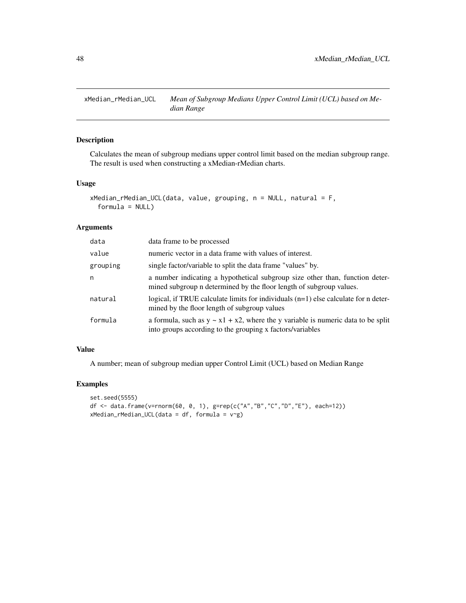<span id="page-47-0"></span>

Calculates the mean of subgroup medians upper control limit based on the median subgroup range. The result is used when constructing a xMedian-rMedian charts.

### Usage

```
xMedian_rMedian_UCL(data, value, grouping, n = NULL, natural = F,
  formula = NULL)
```
### Arguments

| data     | data frame to be processed                                                                                                                          |
|----------|-----------------------------------------------------------------------------------------------------------------------------------------------------|
| value    | numeric vector in a data frame with values of interest.                                                                                             |
| grouping | single factor/variable to split the data frame "values" by.                                                                                         |
| n        | a number indicating a hypothetical subgroup size other than, function deter-<br>mined subgroup n determined by the floor length of subgroup values. |
| natural  | logical, if TRUE calculate limits for individuals $(n=1)$ else calculate for n deter-<br>mined by the floor length of subgroup values               |
| formula  | a formula, such as $y \sim x1 + x2$ , where the y variable is numeric data to be split<br>into groups according to the grouping x factors/variables |

### Value

A number; mean of subgroup median upper Control Limit (UCL) based on Median Range

```
set.seed(5555)
df <- data.frame(v=rnorm(60, 0, 1), g=rep(c("A","B","C","D","E"), each=12))
xMedian_rMedian_UCL(data = df, formula = v~g)
```